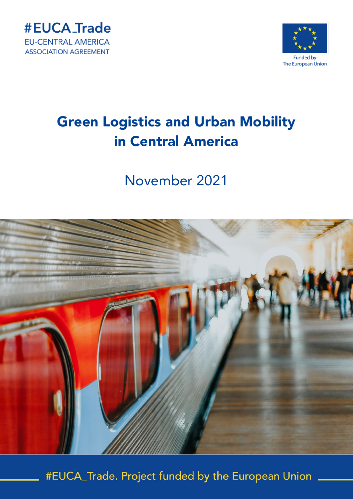



# November 2021



#EUCA\_Trade. Project funded by the European Union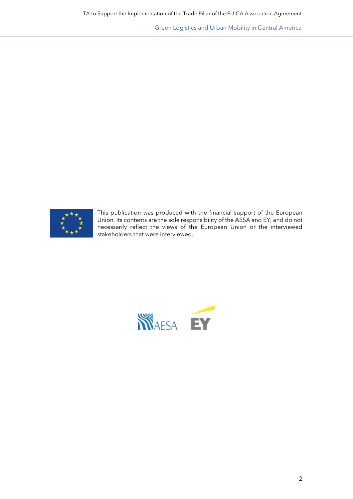

This publication was produced with the financial support of the European Union. Its contents are the sole responsibility of the AESA and EY, and do not necessarily reflect the views of the European Union or the interviewed stakeholders that were interviewed.

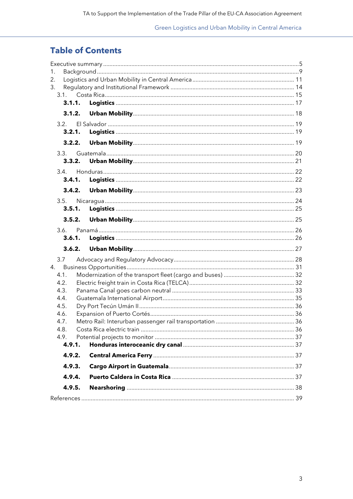# **Table of Contents**

| 1.     |        |        |  |  |  |
|--------|--------|--------|--|--|--|
| 2.     |        |        |  |  |  |
| 3.     |        |        |  |  |  |
|        | 3.1.   |        |  |  |  |
|        | 3.1.1. |        |  |  |  |
|        |        |        |  |  |  |
|        | 3.2.   |        |  |  |  |
|        | 3.2.1. |        |  |  |  |
|        |        |        |  |  |  |
|        | 3.3.   |        |  |  |  |
|        | 3.3.2. |        |  |  |  |
|        | 3.4.   |        |  |  |  |
|        | 3.4.1. |        |  |  |  |
|        |        |        |  |  |  |
|        | 3.5.   |        |  |  |  |
|        | 3.5.1. |        |  |  |  |
|        |        | 3.5.2. |  |  |  |
|        | 3.6.   |        |  |  |  |
|        |        | 3.6.1. |  |  |  |
|        |        |        |  |  |  |
|        | 3.7    |        |  |  |  |
| 4.     |        |        |  |  |  |
|        | 4.1.   |        |  |  |  |
|        | 4.2.   |        |  |  |  |
|        | 4.3.   |        |  |  |  |
|        | 4.4.   |        |  |  |  |
|        | 4.5.   |        |  |  |  |
|        | 4.6.   |        |  |  |  |
|        | 4.7.   |        |  |  |  |
|        | 4.8.   |        |  |  |  |
|        | 4.9.   |        |  |  |  |
|        | 4.9.1. |        |  |  |  |
|        | 4.9.2. |        |  |  |  |
|        | 4.9.3. |        |  |  |  |
|        | 4.9.4. |        |  |  |  |
| 4.9.5. |        |        |  |  |  |
|        |        |        |  |  |  |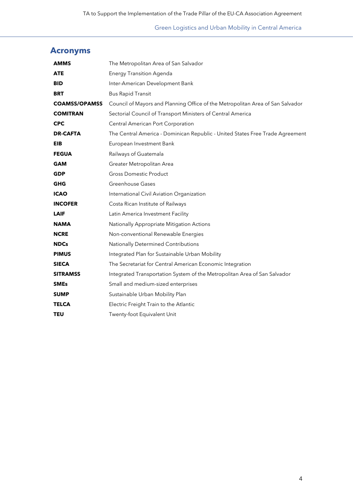# **Acronyms**

| <b>AMMS</b>          | The Metropolitan Area of San Salvador                                          |
|----------------------|--------------------------------------------------------------------------------|
| <b>ATE</b>           | <b>Energy Transition Agenda</b>                                                |
| <b>BID</b>           | Inter-American Development Bank                                                |
| <b>BRT</b>           | <b>Bus Rapid Transit</b>                                                       |
| <b>COAMSS/OPAMSS</b> | Council of Mayors and Planning Office of the Metropolitan Area of San Salvador |
| <b>COMITRAN</b>      | Sectorial Council of Transport Ministers of Central America                    |
| <b>CPC</b>           | <b>Central American Port Corporation</b>                                       |
| <b>DR-CAFTA</b>      | The Central America - Dominican Republic - United States Free Trade Agreement  |
| EIB                  | European Investment Bank                                                       |
| <b>FEGUA</b>         | Railways of Guatemala                                                          |
| <b>GAM</b>           | Greater Metropolitan Area                                                      |
| <b>GDP</b>           | <b>Gross Domestic Product</b>                                                  |
| <b>GHG</b>           | Greenhouse Gases                                                               |
| <b>ICAO</b>          | International Civil Aviation Organization                                      |
| <b>INCOFER</b>       | Costa Rican Institute of Railways                                              |
| <b>LAIF</b>          | Latin America Investment Facility                                              |
| <b>NAMA</b>          | Nationally Appropriate Mitigation Actions                                      |
| <b>NCRE</b>          | Non-conventional Renewable Energies                                            |
| <b>NDCs</b>          | Nationally Determined Contributions                                            |
| <b>PIMUS</b>         | Integrated Plan for Sustainable Urban Mobility                                 |
| <b>SIECA</b>         | The Secretariat for Central American Economic Integration                      |
| <b>SITRAMSS</b>      | Integrated Transportation System of the Metropolitan Area of San Salvador      |
| <b>SMEs</b>          | Small and medium-sized enterprises                                             |
| <b>SUMP</b>          | Sustainable Urban Mobility Plan                                                |
| <b>TELCA</b>         | Electric Freight Train to the Atlantic                                         |
| <b>TEU</b>           | Twenty-foot Equivalent Unit                                                    |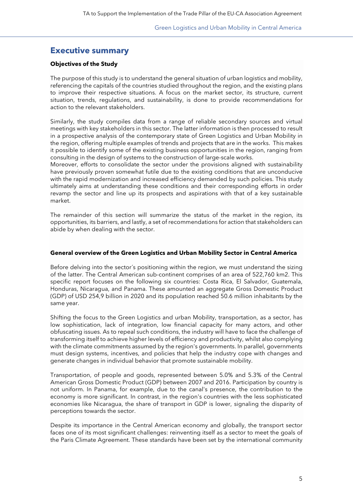# <span id="page-4-0"></span>**Executive summary**

#### **Objectives of the Study**

The purpose of this study is to understand the general situation of urban logistics and mobility, referencing the capitals of the countries studied throughout the region, and the existing plans to improve their respective situations. A focus on the market sector, its structure, current situation, trends, regulations, and sustainability, is done to provide recommendations for action to the relevant stakeholders.

Similarly, the study compiles data from a range of reliable secondary sources and virtual meetings with key stakeholders in this sector. The latter information is then processed to result in a prospective analysis of the contemporary state of Green Logistics and Urban Mobility in the region, offering multiple examples of trends and projects that are in the works. This makes it possible to identify some of the existing business opportunities in the region, ranging from consulting in the design of systems to the construction of large-scale works.

Moreover, efforts to consolidate the sector under the provisions aligned with sustainability have previously proven somewhat futile due to the existing conditions that are unconducive with the rapid modernization and increased efficiency demanded by such policies. This study ultimately aims at understanding these conditions and their corresponding efforts in order revamp the sector and line up its prospects and aspirations with that of a key sustainable market.

The remainder of this section will summarize the status of the market in the region, its opportunities, its barriers, and lastly, a set of recommendations for action that stakeholders can abide by when dealing with the sector.

#### **General overview of the Green Logistics and Urban Mobility Sector in Central America**

Before delving into the sector´s positioning within the region, we must understand the sizing of the latter. The Central American sub-continent comprises of an area of 522,760 km2. This specific report focuses on the following six countries: Costa Rica, El Salvador, Guatemala, Honduras, Nicaragua, and Panama. These amounted an aggregate Gross Domestic Product (GDP) of USD 254,9 billion in 2020 and its population reached 50.6 million inhabitants by the same year.

Shifting the focus to the Green Logistics and urban Mobility, transportation, as a sector, has low sophistication, lack of integration, low financial capacity for many actors, and other obfuscating issues. As to repeal such conditions, the industry will have to face the challenge of transforming itself to achieve higher levels of efficiency and productivity, whilst also complying with the climate commitments assumed by the region's governments. In parallel, governments must design systems, incentives, and policies that help the industry cope with changes and generate changes in individual behavior that promote sustainable mobility.

Transportation, of people and goods, represented between 5.0% and 5.3% of the Central American Gross Domestic Product (GDP) between 2007 and 2016. Participation by country is not uniform. In Panama, for example, due to the canal's presence, the contribution to the economy is more significant. In contrast, in the region's countries with the less sophisticated economies like Nicaragua, the share of transport in GDP is lower, signaling the disparity of perceptions towards the sector.

Despite its importance in the Central American economy and globally, the transport sector faces one of its most significant challenges: reinventing itself as a sector to meet the goals of the Paris Climate Agreement. These standards have been set by the international community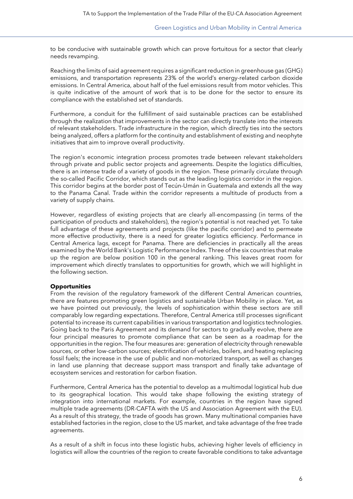to be conducive with sustainable growth which can prove fortuitous for a sector that clearly needs revamping.

Reaching the limits of said agreement requires a significant reduction in greenhouse gas (GHG) emissions, and transportation represents 23% of the world's energy-related carbon dioxide emissions. In Central America, about half of the fuel emissions result from motor vehicles. This is quite indicative of the amount of work that is to be done for the sector to ensure its compliance with the established set of standards.

Furthermore, a conduit for the fulfillment of said sustainable practices can be established through the realization that improvements in the sector can directly translate into the interests of relevant stakeholders. Trade infrastructure in the region, which directly ties into the sectors being analyzed, offers a platform for the continuity and establishment of existing and neophyte initiatives that aim to improve overall productivity.

The region's economic integration process promotes trade between relevant stakeholders through private and public sector projects and agreements. Despite the logistics difficulties, there is an intense trade of a variety of goods in the region. These primarily circulate through the so-called Pacific Corridor, which stands out as the leading logistics corridor in the region. This corridor begins at the border post of Tecún-Umán in Guatemala and extends all the way to the Panama Canal. Trade within the corridor represents a multitude of products from a variety of supply chains.

However, regardless of existing projects that are clearly all-encompassing (in terms of the participation of products and stakeholders), the region's potential is not reached yet. To take full advantage of these agreements and projects (like the pacific corridor) and to permeate more effective productivity, there is a need for greater logistics efficiency. Performance in Central America lags, except for Panama. There are deficiencies in practically all the areas examined by the World Bank's Logistic Performance Index. Three of the six countries that make up the region are below position 100 in the general ranking. This leaves great room for improvement which directly translates to opportunities for growth, which we will highlight in the following section.

#### **Opportunities**

From the revision of the regulatory framework of the different Central American countries, there are features promoting green logistics and sustainable Urban Mobility in place. Yet, as we have pointed out previously, the levels of sophistication within these sectors are still comparably low regarding expectations. Therefore, Central America still processes significant potential to increase its current capabilities in various transportation and logistics technologies. Going back to the Paris Agreement and its demand for sectors to gradually evolve, there are four principal measures to promote compliance that can be seen as a roadmap for the opportunities in the region. The four measures are: generation of electricity through renewable sources, or other low-carbon sources; electrification of vehicles, boilers, and heating replacing fossil fuels; the increase in the use of public and non-motorized transport, as well as changes in land use planning that decrease support mass transport and finally take advantage of ecosystem services and restoration for carbon fixation.

Furthermore, Central America has the potential to develop as a multimodal logistical hub due to its geographical location. This would take shape following the existing strategy of integration into international markets. For example, countries in the region have signed multiple trade agreements (DR-CAFTA with the US and Association Agreement with the EU). As a result of this strategy, the trade of goods has grown. Many multinational companies have established factories in the region, close to the US market, and take advantage of the free trade agreements.

As a result of a shift in focus into these logistic hubs, achieving higher levels of efficiency in logistics will allow the countries of the region to create favorable conditions to take advantage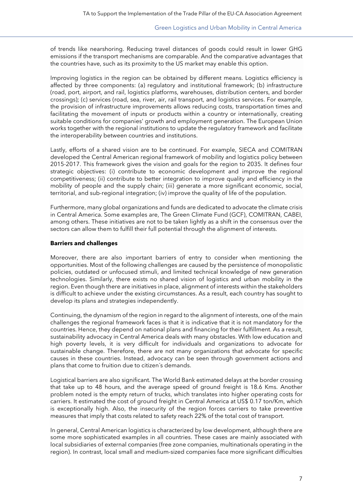of trends like nearshoring. Reducing travel distances of goods could result in lower GHG emissions if the transport mechanisms are comparable. And the comparative advantages that the countries have, such as its proximity to the US market may enable this option.

Improving logistics in the region can be obtained by different means. Logistics efficiency is affected by three components: (a) regulatory and institutional framework; (b) infrastructure (road, port, airport, and rail, logistics platforms, warehouses, distribution centers, and border crossings); (c) services (road, sea, river, air, rail transport, and logistics services. For example, the provision of infrastructure improvements allows reducing costs, transportation times and facilitating the movement of inputs or products within a country or internationally, creating suitable conditions for companies' growth and employment generation. The European Union works together with the regional institutions to update the regulatory framework and facilitate the interoperability between countries and institutions.

Lastly, efforts of a shared vision are to be continued. For example, SIECA and COMITRAN developed the Central American regional framework of mobility and logistics policy between 2015-2017. This framework gives the vision and goals for the region to 2035. It defines four strategic objectives: (i) contribute to economic development and improve the regional competitiveness; (ii) contribute to better integration to improve quality and efficiency in the mobility of people and the supply chain; (iii) generate a more significant economic, social, territorial, and sub-regional integration; (iv) improve the quality of life of the population.

Furthermore, many global organizations and funds are dedicated to advocate the climate crisis in Central America. Some examples are, The Green Climate Fund (GCF), COMITRAN, CABEI, among others. These initiatives are not to be taken lightly as a shift in the consensus over the sectors can allow them to fulfill their full potential through the alignment of interests.

#### **Barriers and challenges**

Moreover, there are also important barriers of entry to consider when mentioning the opportunities. Most of the following challenges are caused by the persistence of monopolistic policies, outdated or unfocused stimuli, and limited technical knowledge of new generation technologies. Similarly, there exists no shared vision of logistics and urban mobility in the region. Even though there are initiatives in place, alignment of interests within the stakeholders is difficult to achieve under the existing circumstances. As a result, each country has sought to develop its plans and strategies independently.

Continuing, the dynamism of the region in regard to the alignment of interests, one of the main challenges the regional framework faces is that it is indicative that it is not mandatory for the countries. Hence, they depend on national plans and financing for their fulfillment. As a result, sustainability advocacy in Central America deals with many obstacles. With low education and high poverty levels, it is very difficult for individuals and organizations to advocate for sustainable change. Therefore, there are not many organizations that advocate for specific causes in these countries. Instead, advocacy can be seen through government actions and plans that come to fruition due to citizen´s demands.

Logistical barriers are also significant. The World Bank estimated delays at the border crossing that take up to 48 hours, and the average speed of ground freight is 18.6 Kms. Another problem noted is the empty return of trucks, which translates into higher operating costs for carriers. It estimated the cost of ground freight in Central America at US\$ 0.17 ton/Km, which is exceptionally high. Also, the insecurity of the region forces carriers to take preventive measures that imply that costs related to safety reach 22% of the total cost of transport.

In general, Central American logistics is characterized by low development, although there are some more sophisticated examples in all countries. These cases are mainly associated with local subsidiaries of external companies (free zone companies, multinationals operating in the region). In contrast, local small and medium-sized companies face more significant difficulties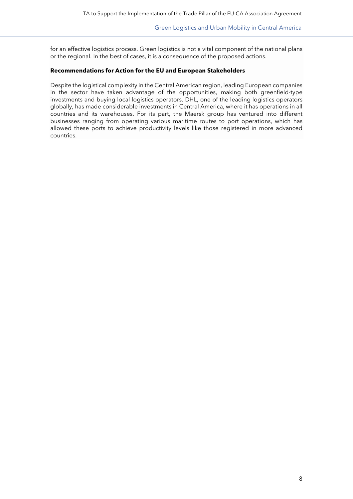for an effective logistics process. Green logistics is not a vital component of the national plans or the regional. In the best of cases, it is a consequence of the proposed actions.

#### **Recommendations for Action for the EU and European Stakeholders**

Despite the logistical complexity in the Central American region, leading European companies in the sector have taken advantage of the opportunities, making both greenfield-type investments and buying local logistics operators. DHL, one of the leading logistics operators globally, has made considerable investments in Central America, where it has operations in all countries and its warehouses. For its part, the Maersk group has ventured into different businesses ranging from operating various maritime routes to port operations, which has allowed these ports to achieve productivity levels like those registered in more advanced countries.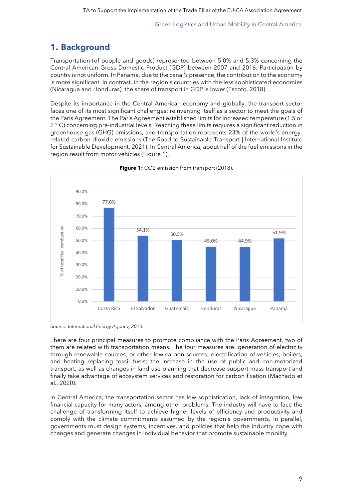# <span id="page-8-0"></span>**1. Background**

Transportation (of people and goods) represented between 5.0% and 5.3% concerning the Central American Gross Domestic Product (GDP) between 2007 and 2016. Participation by country is not uniform. In Panama, due to the canal's presence, the contribution to the economy is more significant. In contrast, in the region's countries with the less sophisticated economies (Nicaragua and Honduras), the share of transport in GDP is lower (Escoto, 2018).

Despite its importance in the Central American economy and globally, the transport sector faces one of its most significant challenges: reinventing itself as a sector to meet the goals of the Paris Agreement. The Paris Agreement established limits for increased temperature (1.5 or 2 ° C) concerning pre-industrial levels. Reaching these limits requires a significant reduction in greenhouse gas (GHG) emissions, and transportation represents 23% of the world's energyrelated carbon dioxide emissions (The Road to Sustainable Transport | International Institute for Sustainable Development, 2021). In Central America, about half of the fuel emissions in the region result from motor vehicles (Figure 1).



**Figure 1:** CO2 emission from transport (2018).

*Source: International Energy Agency, 2020.*

There are four principal measures to promote compliance with the Paris Agreement, two of them are related with transportation means. The four measures are: generation of electricity through renewable sources, or other low-carbon sources; electrification of vehicles, boilers, and heating replacing fossil fuels; the increase in the use of public and non-motorized transport, as well as changes in land use planning that decrease support mass transport and finally take advantage of ecosystem services and restoration for carbon fixation (Machado et al., 2020).

In Central America, the transportation sector has low sophistication, lack of integration, low financial capacity for many actors, among other problems. The industry will have to face the challenge of transforming itself to achieve higher levels of efficiency and productivity and comply with the climate commitments assumed by the region's governments. In parallel, governments must design systems, incentives, and policies that help the industry cope with changes and generate changes in individual behavior that promote sustainable mobility.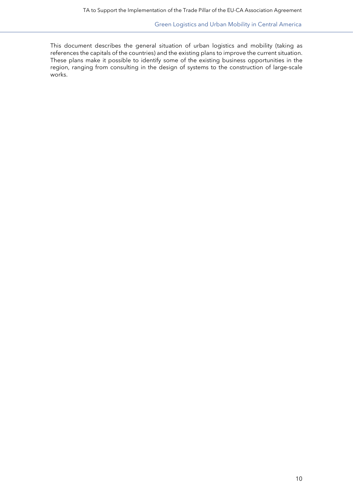This document describes the general situation of urban logistics and mobility (taking as references the capitals of the countries) and the existing plans to improve the current situation. These plans make it possible to identify some of the existing business opportunities in the region, ranging from consulting in the design of systems to the construction of large-scale works.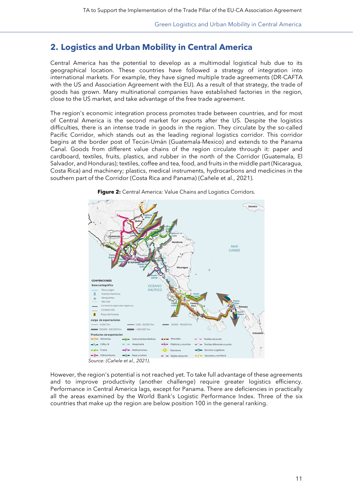<span id="page-10-0"></span>Central America has the potential to develop as a multimodal logistical hub due to its geographical location. These countries have followed a strategy of integration into international markets. For example, they have signed multiple trade agreements (DR-CAFTA with the US and Association Agreement with the EU). As a result of that strategy, the trade of goods has grown. Many multinational companies have established factories in the region, close to the US market, and take advantage of the free trade agreement.

The region's economic integration process promotes trade between countries, and for most of Central America is the second market for exports after the US. Despite the logistics difficulties, there is an intense trade in goods in the region. They circulate by the so-called Pacific Corridor, which stands out as the leading regional logistics corridor. This corridor begins at the border post of Tecún-Umán (Guatemala-Mexico) and extends to the Panama Canal. Goods from different value chains of the region circulate through it: paper and cardboard, textiles, fruits, plastics, and rubber in the north of the Corridor (Guatemala, El Salvador, and Honduras); textiles, coffee and tea, food, and fruits in the middle part (Nicaragua, Costa Rica) and machinery; plastics, medical instruments, hydrocarbons and medicines in the southern part of the Corridor (Costa Rica and Panama) (Cañele et al., 2021).



**Figure 2:** Central America: Value Chains and Logistics Corridors.

However, the region's potential is not reached yet. To take full advantage of these agreements and to improve productivity (another challenge) require greater logistics efficiency. Performance in Central America lags, except for Panama. There are deficiencies in practically all the areas examined by the World Bank's Logistic Performance Index. Three of the six countries that make up the region are below position 100 in the general ranking.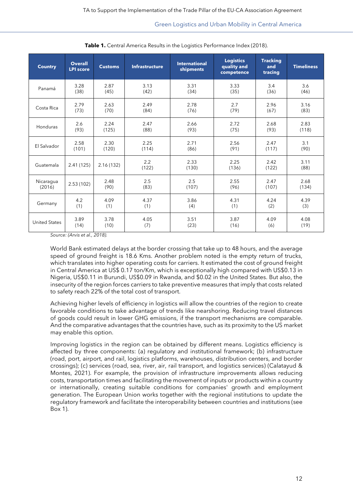| <b>Country</b>       | <b>Overall</b><br><b>LPI score</b> | <b>Customs</b> | <b>Infrastructure</b> | <b>International</b><br>shipments | <b>Logistics</b><br>quality and<br>competence | <b>Tracking</b><br>and<br>tracing | <b>Timeliness</b> |
|----------------------|------------------------------------|----------------|-----------------------|-----------------------------------|-----------------------------------------------|-----------------------------------|-------------------|
| Panamá               | 3.28                               | 2.87           | 3.13                  | 3.31                              | 3.33                                          | 3.4                               | 3.6               |
|                      | (38)                               | (45)           | (42)                  | (34)                              | (35)                                          | (36)                              | (46)              |
| Costa Rica           | 2.79                               | 2.63           | 2.49                  | 2.78                              | 2.7                                           | 2.96                              | 3.16              |
|                      | (73)                               | (70)           | (84)                  | (76)                              | (79)                                          | (67)                              | (83)              |
| Honduras             | 2.6                                | 2.24           | 2.47                  | 2.66                              | 2.72                                          | 2.68                              | 2.83              |
|                      | (93)                               | (125)          | (88)                  | (93)                              | (75)                                          | (93)                              | (118)             |
| El Salvador          | 2.58                               | 2.30           | 2.25                  | 2.71                              | 2.56                                          | 2.47                              | 3.1               |
|                      | (101)                              | (120)          | (114)                 | (86)                              | (91)                                          | (117)                             | (90)              |
| Guatemala            | 2.41(125)                          | 2.16(132)      | 2.2<br>(122)          | 2.33<br>(130)                     | 2.25<br>(136)                                 | 2.42<br>(122)                     | 3.11<br>(88)      |
| Nicaragua            | 2.53(102)                          | 2.48           | 2.5                   | 2.5                               | 2.55                                          | 2.47                              | 2.68              |
| (2016)               |                                    | (90)           | (83)                  | (107)                             | (96)                                          | (107)                             | (134)             |
| Germany              | 4.2                                | 4.09           | 4.37                  | 3.86                              | 4.31                                          | 4.24                              | 4.39              |
|                      | (1)                                | (1)            | (1)                   | (4)                               | (1)                                           | (2)                               | (3)               |
| <b>United States</b> | 3.89                               | 3.78           | 4.05                  | 3.51                              | 3.87                                          | 4.09                              | 4.08              |
|                      | (14)                               | (10)           | (7)                   | (23)                              | (16)                                          | (6)                               | (19)              |

Table 1. Central America Results in the Logistics Performance Index (2018).

*Source: (Arvis et al., 2018).*

World Bank estimated delays at the border crossing that take up to 48 hours, and the average speed of ground freight is 18.6 Kms. Another problem noted is the empty return of trucks, which translates into higher operating costs for carriers. It estimated the cost of ground freight in Central America at US\$ 0.17 ton/Km, which is exceptionally high compared with US\$0.13 in Nigeria, US\$0.11 in Burundi, US\$0.09 in Rwanda, and \$0.02 in the United States. But also, the insecurity of the region forces carriers to take preventive measures that imply that costs related to safety reach 22% of the total cost of transport.

Achieving higher levels of efficiency in logistics will allow the countries of the region to create favorable conditions to take advantage of trends like nearshoring. Reducing travel distances of goods could result in lower GHG emissions, if the transport mechanisms are comparable. And the comparative advantages that the countries have, such as its proximity to the US market may enable this option.

Improving logistics in the region can be obtained by different means. Logistics efficiency is affected by three components: (a) regulatory and institutional framework; (b) infrastructure (road, port, airport, and rail, logistics platforms, warehouses, distribution centers, and border crossings); (c) services (road, sea, river, air, rail transport, and logistics services) (Calatayud & Montes, 2021). For example, the provision of infrastructure improvements allows reducing costs, transportation times and facilitating the movement of inputs or products within a country or internationally, creating suitable conditions for companies' growth and employment generation. The European Union works together with the regional institutions to update the regulatory framework and facilitate the interoperability between countries and institutions (see Box 1).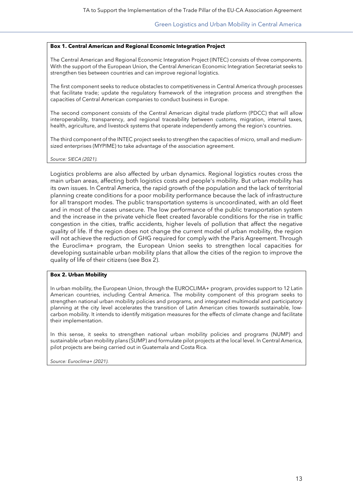#### **Box 1. Central American and Regional Economic Integration Project**

The Central American and Regional Economic Integration Project (INTEC) consists of three components. With the support of the European Union, the Central American Economic Integration Secretariat seeks to strengthen ties between countries and can improve regional logistics.

The first component seeks to reduce obstacles to competitiveness in Central America through processes that facilitate trade; update the regulatory framework of the integration process and strengthen the capacities of Central American companies to conduct business in Europe.

The second component consists of the Central American digital trade platform (PDCC) that will allow interoperability, transparency, and regional traceability between customs, migration, internal taxes, health, agriculture, and livestock systems that operate independently among the region's countries.

The third component of the INTEC project seeks to strengthen the capacities of micro, small and mediumsized enterprises (MYPIME) to take advantage of the association agreement.

#### *Source: SIECA (2021).*

Logistics problems are also affected by urban dynamics. Regional logistics routes cross the main urban areas, affecting both logistics costs and people's mobility. But urban mobility has its own issues. In Central America, the rapid growth of the population and the lack of territorial planning create conditions for a poor mobility performance because the lack of infrastructure for all transport modes. The public transportation systems is uncoordinated, with an old fleet and in most of the cases unsecure. The low performance of the public transportation system and the increase in the private vehicle fleet created favorable conditions for the rise in traffic congestion in the cities, traffic accidents, higher levels of pollution that affect the negative quality of life. If the region does not change the current model of urban mobility, the region will not achieve the reduction of GHG required for comply with the Paris Agreement. Through the Euroclima+ program, the European Union seeks to strengthen local capacities for developing sustainable urban mobility plans that allow the cities of the region to improve the quality of life of their citizens (see Box 2).

#### **Box 2. Urban Mobility**

In urban mobility, the European Union, through the EUROCLIMA+ program, provides support to 12 Latin American countries, including Central America. The mobility component of this program seeks to strengthen national urban mobility policies and programs, and integrated multimodal and participatory planning at the city level accelerates the transition of Latin American cities towards sustainable, lowcarbon mobility. It intends to identify mitigation measures for the effects of climate change and facilitate their implementation.

In this sense, it seeks to strengthen national urban mobility policies and programs (NUMP) and sustainable urban mobility plans (SUMP) and formulate pilot projects at the local level. In Central America, pilot projects are being carried out in Guatemala and Costa Rica.

*Source: Euroclima+ (2021).*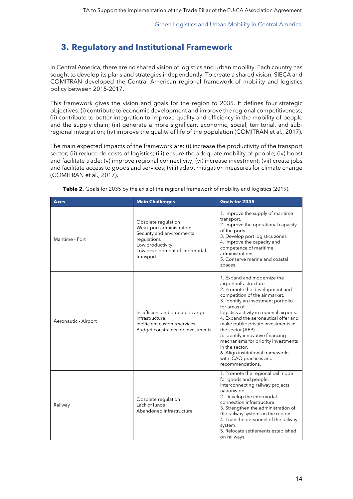# <span id="page-13-0"></span>**3. Regulatory and Institutional Framework**

In Central America, there are no shared vision of logistics and urban mobility. Each country has sought to develop its plans and strategies independently. To create a shared vision, SIECA and COMITRAN developed the Central American regional framework of mobility and logistics policy between 2015-2017.

This framework gives the vision and goals for the region to 2035. It defines four strategic objectives: (i) contribute to economic development and improve the regional competitiveness; (ii) contribute to better integration to improve quality and efficiency in the mobility of people and the supply chain; (iii) generate a more significant economic, social, territorial, and subregional integration; (iv) improve the quality of life of the population (COMITRAN et al., 2017).

The main expected impacts of the framework are: (i) increase the productivity of the transport sector; (ii) reduce de costs of logistics; (iii) ensure the adequate mobility of people; (iv) boost and facilitate trade; (v) improve regional connectivity; (vi) increase investment; (vii) create jobs and facilitate access to goods and services; (viii) adapt mitigation measures for climate change (COMITRAN et al., 2017).

| <b>Axes</b>          | <b>Main Challenges</b>                                                                                                                                         | Goals for 2035                                                                                                                                                                                                                                                                                                                                                                                                                                                                                                   |  |
|----------------------|----------------------------------------------------------------------------------------------------------------------------------------------------------------|------------------------------------------------------------------------------------------------------------------------------------------------------------------------------------------------------------------------------------------------------------------------------------------------------------------------------------------------------------------------------------------------------------------------------------------------------------------------------------------------------------------|--|
| Maritime - Port      | Obsolete regulation<br>Weak port administration<br>Security and environmental<br>regulations<br>Low productivity<br>Low development of intermodal<br>transport | 1. Improve the supply of maritime<br>transport.<br>2. Improve the operational capacity<br>of the ports.<br>3. Develop port logistics zones<br>4. Improve the capacity and<br>competence of maritime<br>administrations.<br>5. Conserve marine and coastal<br>spaces.                                                                                                                                                                                                                                             |  |
| Aeronautic - Airport | Insufficient and outdated cargo<br>infrastructure<br>Inefficient customs services<br>Budget constraints for investments                                        | 1. Expand and modernize the<br>airport infrastructure<br>2. Promote the development and<br>competition of the air market.<br>3. Identify an investment portfolio<br>for areas of<br>logistics activity in regional airports.<br>4. Expand the aeronautical offer and<br>make public-private investments in<br>the sector (APP).<br>5. Identify innovative financing<br>mechanisms for priority investments<br>in the sector.<br>6. Align institutional frameworks<br>with ICAO practices and<br>recommendations. |  |
| Railway              | Obsolete regulation<br>Lack of funds<br>Abandoned infrastructure                                                                                               | 1. Promote the regional rail mode<br>for goods and people,<br>interconnecting railway projects<br>nationwide.<br>2. Develop the intermodal<br>connection infrastructure.<br>3. Strengthen the administration of<br>the railway systems in the region.<br>4. Train the personnel of the railway<br>system.<br>5. Relocate settlements established<br>on railways.                                                                                                                                                 |  |

**Table 2.** Goals for 2035 by the axis of the regional framework of mobility and logistics (2019).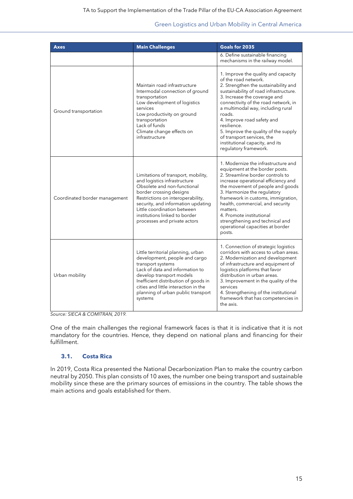| <b>Axes</b>                   | <b>Main Challenges</b>                                                                                                                                                                                                                                                                                   | Goals for 2035                                                                                                                                                                                                                                                                                                                                                                                                                                      |
|-------------------------------|----------------------------------------------------------------------------------------------------------------------------------------------------------------------------------------------------------------------------------------------------------------------------------------------------------|-----------------------------------------------------------------------------------------------------------------------------------------------------------------------------------------------------------------------------------------------------------------------------------------------------------------------------------------------------------------------------------------------------------------------------------------------------|
|                               |                                                                                                                                                                                                                                                                                                          | 6. Define sustainable financing<br>mechanisms in the railway model.                                                                                                                                                                                                                                                                                                                                                                                 |
| Ground transportation         | Maintain road infrastructure<br>Intermodal connection of ground<br>transportation<br>Low development of logistics<br>services<br>Low productivity on ground<br>transportation<br>Lack of funds<br>Climate change effects on<br>infrastructure                                                            | 1. Improve the quality and capacity<br>of the road network.<br>2. Strengthen the sustainability and<br>sustainability of road infrastructure.<br>3. Increase the coverage and<br>connectivity of the road network, in<br>a multimodal way, including rural<br>roads.<br>4. Improve road safety and<br>resilience.<br>5. Improve the quality of the supply<br>of transport services, the<br>institutional capacity, and its<br>regulatory framework. |
| Coordinated border management | Limitations of transport, mobility,<br>and logistics infrastructure<br>Obsolete and non-functional<br>border crossing designs<br>Restrictions on interoperability,<br>security, and information updating<br>Little coordination between<br>institutions linked to border<br>processes and private actors | 1. Modernize the infrastructure and<br>equipment at the border posts.<br>2. Streamline border controls to<br>increase operational efficiency and<br>the movement of people and goods<br>3. Harmonize the regulatory<br>framework in customs, immigration,<br>health, commercial, and security<br>matters.<br>4. Promote institutional<br>strengthening and technical and<br>operational capacities at border<br>posts.                              |
| Urban mobility                | Little territorial planning, urban<br>development, people and cargo<br>transport systems<br>Lack of data and information to<br>develop transport models<br>Inefficient distribution of goods in<br>cities and little interaction in the<br>planning of urban public transport<br>systems                 | 1. Connection of strategic logistics<br>corridors with access to urban areas.<br>2. Modernization and development<br>of infrastructure and equipment of<br>logistics platforms that favor<br>distribution in urban areas.<br>3. Improvement in the quality of the<br>services<br>4. Strengthening of the institutional<br>framework that has competencies in<br>the axis.                                                                           |

*Source: SIECA & COMITRAN, 2019.* 

One of the main challenges the regional framework faces is that it is indicative that it is not mandatory for the countries. Hence, they depend on national plans and financing for their fulfillment.

# <span id="page-14-0"></span>**3.1. Costa Rica**

In 2019, Costa Rica presented the National Decarbonization Plan to make the country carbon neutral by 2050. This plan consists of 10 axes, the number one being transport and sustainable mobility since these are the primary sources of emissions in the country. The table shows the main actions and goals established for them.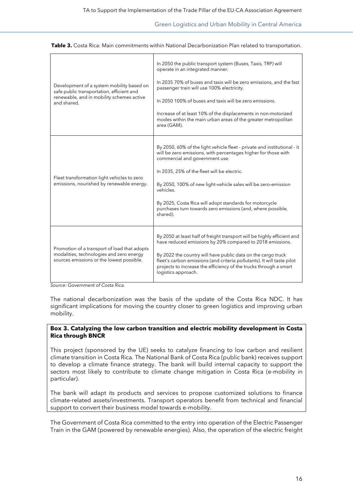| Development of a system mobility based on<br>safe public transportation, efficient and<br>renewable, and in mobility schemes active<br>and shared. | In 2050 the public transport system (Buses, Taxis, TRP) will<br>operate in an integrated manner.<br>In 2035 70% of buses and taxis will be zero emissions, and the fast<br>passenger train will use 100% electricity.<br>In 2050 100% of buses and taxis will be zero emissions.<br>Increase of at least 10% of the displacements in non-motorized<br>modes within the main urban areas of the greater metropolitan<br>area (GAM).               |  |  |
|----------------------------------------------------------------------------------------------------------------------------------------------------|--------------------------------------------------------------------------------------------------------------------------------------------------------------------------------------------------------------------------------------------------------------------------------------------------------------------------------------------------------------------------------------------------------------------------------------------------|--|--|
| Fleet transformation light vehicles to zero<br>emissions, nourished by renewable energy.                                                           | By 2050, 60% of the light vehicle fleet - private and institutional - it<br>will be zero emissions, with percentages higher for those with<br>commercial and government use.<br>In 2035, 25% of the fleet will be electric.<br>By 2050, 100% of new light-vehicle sales will be zero-emission<br>vehicles.<br>By 2025, Costa Rica will adopt standards for motorcycle<br>purchases turn towards zero emissions (and, where possible,<br>shared). |  |  |
| Promotion of a transport of load that adopts<br>modalities, technologies and zero energy<br>sources emissions or the lowest possible.              | By 2050 at least half of freight transport will be highly efficient and<br>have reduced emissions by 20% compared to 2018 emissions.<br>By 2022 the country will have public data on the cargo truck<br>fleet's carbon emissions (and criteria pollutants). It will taste pilot<br>projects to increase the efficiency of the trucks through a smart<br>logistics approach.                                                                      |  |  |

**Table 3.** Costa Rica: Main commitments within National Decarbonization Plan related to transportation.

*Source: Government of Costa Rica.*

The national decarbonization was the basis of the update of the Costa Rica NDC. It has significant implications for moving the country closer to green logistics and improving urban mobility.

#### **Box 3. Catalyzing the low carbon transition and electric mobility development in Costa Rica through BNCR**

This project (sponsored by the UE) seeks to catalyze financing to low carbon and resilient climate transition in Costa Rica. The National Bank of Costa Rica (public bank) receives support to develop a climate finance strategy. The bank will build internal capacity to support the sectors most likely to contribute to climate change mitigation in Costa Rica (e-mobility in particular).

The bank will adapt its products and services to propose customized solutions to finance climate-related assets/investments. Transport operators benefit from technical and financial support to convert their business model towards e-mobility.

The Government of Costa Rica committed to the entry into operation of the Electric Passenger Train in the GAM (powered by renewable energies). Also, the operation of the electric freight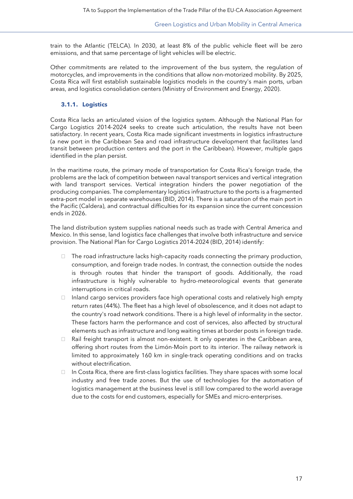train to the Atlantic (TELCA). In 2030, at least 8% of the public vehicle fleet will be zero emissions, and that same percentage of light vehicles will be electric.

Other commitments are related to the improvement of the bus system, the regulation of motorcycles, and improvements in the conditions that allow non-motorized mobility. By 2025, Costa Rica will first establish sustainable logistics models in the country's main ports, urban areas, and logistics consolidation centers (Ministry of Environment and Energy, 2020).

### <span id="page-16-0"></span>**3.1.1. Logistics**

Costa Rica lacks an articulated vision of the logistics system. Although the National Plan for Cargo Logistics 2014-2024 seeks to create such articulation, the results have not been satisfactory. In recent years, Costa Rica made significant investments in logistics infrastructure (a new port in the Caribbean Sea and road infrastructure development that facilitates land transit between production centers and the port in the Caribbean). However, multiple gaps identified in the plan persist.

In the maritime route, the primary mode of transportation for Costa Rica's foreign trade, the problems are the lack of competition between naval transport services and vertical integration with land transport services. Vertical integration hinders the power negotiation of the producing companies. The complementary logistics infrastructure to the ports is a fragmented extra-port model in separate warehouses (BID, 2014). There is a saturation of the main port in the Pacific (Caldera), and contractual difficulties for its expansion since the current concession ends in 2026.

The land distribution system supplies national needs such as trade with Central America and Mexico. In this sense, land logistics face challenges that involve both infrastructure and service provision. The National Plan for Cargo Logistics 2014-2024 (BID, 2014) identify:

- $\Box$  The road infrastructure lacks high-capacity roads connecting the primary production, consumption, and foreign trade nodes. In contrast, the connection outside the nodes is through routes that hinder the transport of goods. Additionally, the road infrastructure is highly vulnerable to hydro-meteorological events that generate interruptions in critical roads.
- $\Box$  Inland cargo services providers face high operational costs and relatively high empty return rates (44%). The fleet has a high level of obsolescence, and it does not adapt to the country's road network conditions. There is a high level of informality in the sector. These factors harm the performance and cost of services, also affected by structural elements such as infrastructure and long waiting times at border posts in foreign trade.
- $\Box$  Rail freight transport is almost non-existent. It only operates in the Caribbean area, offering short routes from the Limón-Moín port to its interior. The railway network is limited to approximately 160 km in single-track operating conditions and on tracks without electrification.
- $\Box$  In Costa Rica, there are first-class logistics facilities. They share spaces with some local industry and free trade zones. But the use of technologies for the automation of logistics management at the business level is still low compared to the world average due to the costs for end customers, especially for SMEs and micro-enterprises.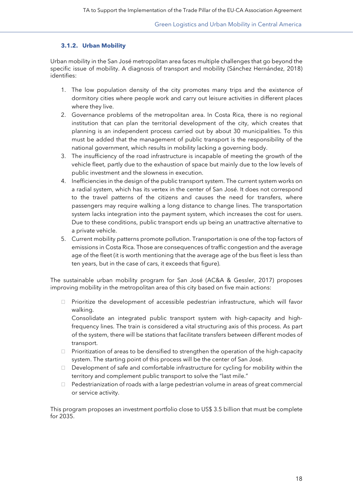### <span id="page-17-0"></span>**3.1.2. Urban Mobility**

Urban mobility in the San José metropolitan area faces multiple challenges that go beyond the specific issue of mobility. A diagnosis of transport and mobility (Sánchez Hernández, 2018) identifies:

- 1. The low population density of the city promotes many trips and the existence of dormitory cities where people work and carry out leisure activities in different places where they live.
- 2. Governance problems of the metropolitan area. In Costa Rica, there is no regional institution that can plan the territorial development of the city, which creates that planning is an independent process carried out by about 30 municipalities. To this must be added that the management of public transport is the responsibility of the national government, which results in mobility lacking a governing body.
- 3. The insufficiency of the road infrastructure is incapable of meeting the growth of the vehicle fleet, partly due to the exhaustion of space but mainly due to the low levels of public investment and the slowness in execution.
- 4. Inefficiencies in the design of the public transport system. The current system works on a radial system, which has its vertex in the center of San José. It does not correspond to the travel patterns of the citizens and causes the need for transfers, where passengers may require walking a long distance to change lines. The transportation system lacks integration into the payment system, which increases the cost for users. Due to these conditions, public transport ends up being an unattractive alternative to a private vehicle.
- 5. Current mobility patterns promote pollution. Transportation is one of the top factors of emissions in Costa Rica. Those are consequences of traffic congestion and the average age of the fleet (it is worth mentioning that the average age of the bus fleet is less than ten years, but in the case of cars, it exceeds that figure).

The sustainable urban mobility program for San José (AC&A & Gessler, 2017) proposes improving mobility in the metropolitan area of this city based on five main actions:

 $\Box$  Prioritize the development of accessible pedestrian infrastructure, which will favor walking.

Consolidate an integrated public transport system with high-capacity and highfrequency lines. The train is considered a vital structuring axis of this process. As part of the system, there will be stations that facilitate transfers between different modes of transport.

- $\Box$  Prioritization of areas to be densified to strengthen the operation of the high-capacity system. The starting point of this process will be the center of San José.
- $\Box$  Development of safe and comfortable infrastructure for cycling for mobility within the territory and complement public transport to solve the "last mile."
- Pedestrianization of roads with a large pedestrian volume in areas of great commercial or service activity.

This program proposes an investment portfolio close to US\$ 3.5 billion that must be complete for 2035.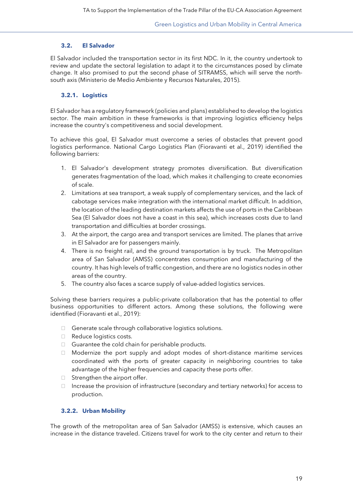#### <span id="page-18-0"></span>**3.2. El Salvador**

El Salvador included the transportation sector in its first NDC. In it, the country undertook to review and update the sectoral legislation to adapt it to the circumstances posed by climate change. It also promised to put the second phase of SITRAMSS, which will serve the northsouth axis (Ministerio de Medio Ambiente y Recursos Naturales, 2015).

#### <span id="page-18-1"></span>**3.2.1. Logistics**

El Salvador has a regulatory framework (policies and plans) established to develop the logistics sector. The main ambition in these frameworks is that improving logistics efficiency helps increase the country's competitiveness and social development.

To achieve this goal, El Salvador must overcome a series of obstacles that prevent good logistics performance. National Cargo Logistics Plan (Fioravanti et al., 2019) identified the following barriers:

- 1. El Salvador's development strategy promotes diversification. But diversification generates fragmentation of the load, which makes it challenging to create economies of scale.
- 2. Limitations at sea transport, a weak supply of complementary services, and the lack of cabotage services make integration with the international market difficult. In addition, the location of the leading destination markets affects the use of ports in the Caribbean Sea (El Salvador does not have a coast in this sea), which increases costs due to land transportation and difficulties at border crossings.
- 3. At the airport, the cargo area and transport services are limited. The planes that arrive in El Salvador are for passengers mainly.
- 4. There is no freight rail, and the ground transportation is by truck. The Metropolitan area of San Salvador (AMSS) concentrates consumption and manufacturing of the country. It has high levels of traffic congestion, and there are no logistics nodes in other areas of the country.
- 5. The country also faces a scarce supply of value-added logistics services.

Solving these barriers requires a public-private collaboration that has the potential to offer business opportunities to different actors. Among these solutions, the following were identified (Fioravanti et al., 2019):

- Generate scale through collaborative logistics solutions.
- Reduce logistics costs.
- $\Box$  Guarantee the cold chain for perishable products.
- Modernize the port supply and adopt modes of short-distance maritime services coordinated with the ports of greater capacity in neighboring countries to take advantage of the higher frequencies and capacity these ports offer.
- $\Box$  Strengthen the airport offer.
- $\Box$  Increase the provision of infrastructure (secondary and tertiary networks) for access to production.

#### <span id="page-18-2"></span>**3.2.2. Urban Mobility**

The growth of the metropolitan area of San Salvador (AMSS) is extensive, which causes an increase in the distance traveled. Citizens travel for work to the city center and return to their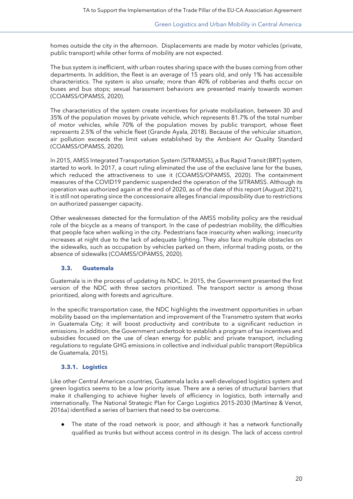homes outside the city in the afternoon. Displacements are made by motor vehicles (private, public transport) while other forms of mobility are not expected.

The bus system is inefficient, with urban routes sharing space with the buses coming from other departments. In addition, the fleet is an average of 15 years old, and only 1% has accessible characteristics. The system is also unsafe; more than 40% of robberies and thefts occur on buses and bus stops; sexual harassment behaviors are presented mainly towards women (COAMSS/OPAMSS, 2020).

The characteristics of the system create incentives for private mobilization, between 30 and 35% of the population moves by private vehicle, which represents 81.7% of the total number of motor vehicles, while 70% of the population moves by public transport, whose fleet represents 2.5% of the vehicle fleet (Grande Ayala, 2018). Because of the vehicular situation, air pollution exceeds the limit values established by the Ambient Air Quality Standard (COAMSS/OPAMSS, 2020).

In 2015, AMSS Integrated Transportation System (SITRAMSS), a Bus Rapid Transit (BRT) system, started to work. In 2017, a court ruling eliminated the use of the exclusive lane for the buses, which reduced the attractiveness to use it (COAMSS/OPAMSS, 2020). The containment measures of the COVID19 pandemic suspended the operation of the SITRAMSS. Although its operation was authorized again at the end of 2020, as of the date of this report (August 2021), it is still not operating since the concessionaire alleges financial impossibility due to restrictions on authorized passenger capacity.

Other weaknesses detected for the formulation of the AMSS mobility policy are the residual role of the bicycle as a means of transport. In the case of pedestrian mobility, the difficulties that people face when walking in the city. Pedestrians face insecurity when walking; insecurity increases at night due to the lack of adequate lighting. They also face multiple obstacles on the sidewalks, such as occupation by vehicles parked on them, informal trading posts, or the absence of sidewalks (COAMSS/OPAMSS, 2020).

# <span id="page-19-0"></span>**3.3. Guatemala**

Guatemala is in the process of updating its NDC. In 2015, the Government presented the first version of the NDC with three sectors prioritized. The transport sector is among those prioritized, along with forests and agriculture.

In the specific transportation case, the NDC highlights the investment opportunities in urban mobility based on the implementation and improvement of the Transmetro system that works in Guatemala City; it will boost productivity and contribute to a significant reduction in emissions. In addition, the Government undertook to establish a program of tax incentives and subsidies focused on the use of clean energy for public and private transport, including regulations to regulate GHG emissions in collective and individual public transport (República de Guatemala, 2015).

# **3.3.1. Logistics**

Like other Central American countries, Guatemala lacks a well-developed logistics system and green logistics seems to be a low priority issue. There are a series of structural barriers that make it challenging to achieve higher levels of efficiency in logistics, both internally and internationally. The National Strategic Plan for Cargo Logistics 2015-2030 (Martínez & Venot, 2016a) identified a series of barriers that need to be overcome.

The state of the road network is poor, and although it has a network functionally qualified as trunks but without access control in its design. The lack of access control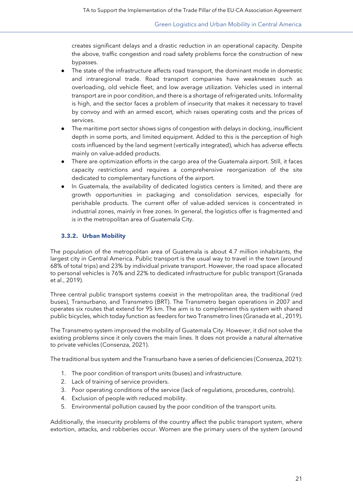creates significant delays and a drastic reduction in an operational capacity. Despite the above, traffic congestion and road safety problems force the construction of new bypasses.

- The state of the infrastructure affects road transport, the dominant mode in domestic and intraregional trade. Road transport companies have weaknesses such as overloading, old vehicle fleet, and low average utilization. Vehicles used in internal transport are in poor condition, and there is a shortage of refrigerated units. Informality is high, and the sector faces a problem of insecurity that makes it necessary to travel by convoy and with an armed escort, which raises operating costs and the prices of services.
- The maritime port sector shows signs of congestion with delays in docking, insufficient depth in some ports, and limited equipment. Added to this is the perception of high costs influenced by the land segment (vertically integrated), which has adverse effects mainly on value-added products.
- There are optimization efforts in the cargo area of the Guatemala airport. Still, it faces capacity restrictions and requires a comprehensive reorganization of the site dedicated to complementary functions of the airport.
- In Guatemala, the availability of dedicated logistics centers is limited, and there are growth opportunities in packaging and consolidation services, especially for perishable products. The current offer of value-added services is concentrated in industrial zones, mainly in free zones. In general, the logistics offer is fragmented and is in the metropolitan area of Guatemala City.

# <span id="page-20-0"></span>**3.3.2. Urban Mobility**

The population of the metropolitan area of Guatemala is about 4.7 million inhabitants, the largest city in Central America. Public transport is the usual way to travel in the town (around 68% of total trips) and 23% by individual private transport. However, the road space allocated to personal vehicles is 76% and 22% to dedicated infrastructure for public transport (Granada et al., 2019).

Three central public transport systems coexist in the metropolitan area, the traditional (red buses), Transurbano, and Transmetro (BRT). The Transmetro began operations in 2007 and operates six routes that extend for 95 km. The aim is to complement this system with shared public bicycles, which today function as feeders for two Transmetro lines (Granada et al., 2019).

The Transmetro system improved the mobility of Guatemala City. However, it did not solve the existing problems since it only covers the main lines. It does not provide a natural alternative to private vehicles (Consenza, 2021).

The traditional bus system and the Transurbano have a series of deficiencies (Consenza, 2021):

- 1. The poor condition of transport units (buses) and infrastructure.
- 2. Lack of training of service providers.
- 3. Poor operating conditions of the service (lack of regulations, procedures, controls).
- 4. Exclusion of people with reduced mobility.
- 5. Environmental pollution caused by the poor condition of the transport units.

Additionally, the insecurity problems of the country affect the public transport system, where extortion, attacks, and robberies occur. Women are the primary users of the system (around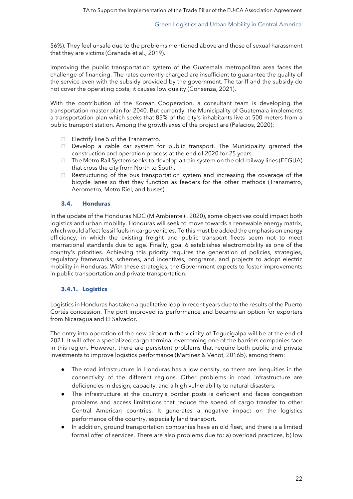56%). They feel unsafe due to the problems mentioned above and those of sexual harassment that they are victims (Granada et al., 2019).

Improving the public transportation system of the Guatemala metropolitan area faces the challenge of financing. The rates currently charged are insufficient to guarantee the quality of the service even with the subsidy provided by the government. The tariff and the subsidy do not cover the operating costs; it causes low quality (Consenza, 2021).

With the contribution of the Korean Cooperation, a consultant team is developing the transportation master plan for 2040. But currently, the Municipality of Guatemala implements a transportation plan which seeks that 85% of the city's inhabitants live at 500 meters from a public transport station. Among the growth axes of the project are (Palacios, 2020):

- Electrify line 5 of the Transmetro.
- $\Box$  Develop a cable car system for public transport. The Municipality granted the construction and operation process at the end of 2020 for 25 years.
- The Metro Rail System seeks to develop a train system on the old railway lines (FEGUA) that cross the city from North to South.
- $\Box$  Restructuring of the bus transportation system and increasing the coverage of the bicycle lanes so that they function as feeders for the other methods (Transmetro, Aerometro, Metro Riel, and buses).

#### <span id="page-21-0"></span>**3.4. Honduras**

In the update of the Honduras NDC (MiAmbiente+, 2020), some objectives could impact both logistics and urban mobility. Honduras will seek to move towards a renewable energy matrix, which would affect fossil fuels in cargo vehicles. To this must be added the emphasis on energy efficiency, in which the existing freight and public transport fleets seem not to meet international standards due to age. Finally, goal 6 establishes electromobility as one of the country's priorities. Achieving this priority requires the generation of policies, strategies, regulatory frameworks, schemes, and incentives, programs, and projects to adopt electric mobility in Honduras. With these strategies, the Government expects to foster improvements in public transportation and private transportation.

#### <span id="page-21-1"></span>**3.4.1. Logistics**

Logistics in Honduras has taken a qualitative leap in recent years due to the results of the Puerto Cortés concession. The port improved its performance and became an option for exporters from Nicaragua and El Salvador.

The entry into operation of the new airport in the vicinity of Tegucigalpa will be at the end of 2021. It will offer a specialized cargo terminal overcoming one of the barriers companies face in this region. However, there are persistent problems that require both public and private investments to improve logistics performance (Martínez & Venot, 2016b), among them:

- The road infrastructure in Honduras has a low density, so there are inequities in the connectivity of the different regions. Other problems in road infrastructure are deficiencies in design, capacity, and a high vulnerability to natural disasters.
- The infrastructure at the country's border posts is deficient and faces congestion problems and access limitations that reduce the speed of cargo transfer to other Central American countries. It generates a negative impact on the logistics performance of the country, especially land transport.
- In addition, ground transportation companies have an old fleet, and there is a limited formal offer of services. There are also problems due to: a) overload practices, b) low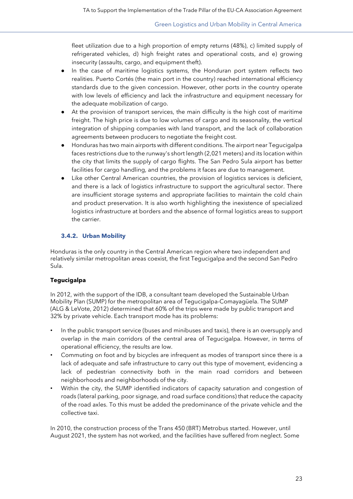fleet utilization due to a high proportion of empty returns (48%), c) limited supply of refrigerated vehicles, d) high freight rates and operational costs, and e) growing insecurity (assaults, cargo, and equipment theft).

- In the case of maritime logistics systems, the Honduran port system reflects two realities. Puerto Cortés (the main port in the country) reached international efficiency standards due to the given concession. However, other ports in the country operate with low levels of efficiency and lack the infrastructure and equipment necessary for the adequate mobilization of cargo.
- At the provision of transport services, the main difficulty is the high cost of maritime freight. The high price is due to low volumes of cargo and its seasonality, the vertical integration of shipping companies with land transport, and the lack of collaboration agreements between producers to negotiate the freight cost.
- Honduras has two main airports with different conditions. The airport near Tegucigalpa faces restrictions due to the runway's short length (2,021 meters) and its location within the city that limits the supply of cargo flights. The San Pedro Sula airport has better facilities for cargo handling, and the problems it faces are due to management.
- Like other Central American countries, the provision of logistics services is deficient, and there is a lack of logistics infrastructure to support the agricultural sector. There are insufficient storage systems and appropriate facilities to maintain the cold chain and product preservation. It is also worth highlighting the inexistence of specialized logistics infrastructure at borders and the absence of formal logistics areas to support the carrier.

# <span id="page-22-0"></span>**3.4.2. Urban Mobility**

Honduras is the only country in the Central American region where two independent and relatively similar metropolitan areas coexist, the first Tegucigalpa and the second San Pedro Sula.

#### **Tegucigalpa**

In 2012, with the support of the IDB, a consultant team developed the Sustainable Urban Mobility Plan (SUMP) for the metropolitan area of Tegucigalpa-Comayagüela. The SUMP (ALG & LeVote, 2012) determined that 60% of the trips were made by public transport and 32% by private vehicle. Each transport mode has its problems:

- In the public transport service (buses and minibuses and taxis), there is an oversupply and overlap in the main corridors of the central area of Tegucigalpa. However, in terms of operational efficiency, the results are low.
- Commuting on foot and by bicycles are infrequent as modes of transport since there is a lack of adequate and safe infrastructure to carry out this type of movement, evidencing a lack of pedestrian connectivity both in the main road corridors and between neighborhoods and neighborhoods of the city.
- Within the city, the SUMP identified indicators of capacity saturation and congestion of roads (lateral parking, poor signage, and road surface conditions) that reduce the capacity of the road axles. To this must be added the predominance of the private vehicle and the collective taxi.

In 2010, the construction process of the Trans 450 (BRT) Metrobus started. However, until August 2021, the system has not worked, and the facilities have suffered from neglect. Some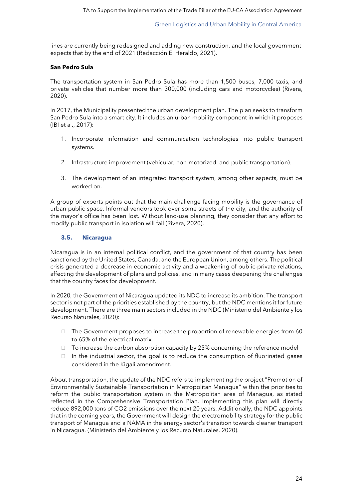lines are currently being redesigned and adding new construction, and the local government expects that by the end of 2021 (Redacción El Heraldo, 2021).

#### **San Pedro Sula**

The transportation system in San Pedro Sula has more than 1,500 buses, 7,000 taxis, and private vehicles that number more than 300,000 (including cars and motorcycles) (Rivera, 2020).

In 2017, the Municipality presented the urban development plan. The plan seeks to transform San Pedro Sula into a smart city. It includes an urban mobility component in which it proposes (IBI et al., 2017):

- 1. Incorporate information and communication technologies into public transport systems.
- 2. Infrastructure improvement (vehicular, non-motorized, and public transportation).
- 3. The development of an integrated transport system, among other aspects, must be worked on.

A group of experts points out that the main challenge facing mobility is the governance of urban public space. Informal vendors took over some streets of the city, and the authority of the mayor's office has been lost. Without land-use planning, they consider that any effort to modify public transport in isolation will fail (Rivera, 2020).

#### <span id="page-23-0"></span>**3.5. Nicaragua**

Nicaragua is in an internal political conflict, and the government of that country has been sanctioned by the United States, Canada, and the European Union, among others. The political crisis generated a decrease in economic activity and a weakening of public-private relations, affecting the development of plans and policies, and in many cases deepening the challenges that the country faces for development.

In 2020, the Government of Nicaragua updated its NDC to increase its ambition. The transport sector is not part of the priorities established by the country, but the NDC mentions it for future development. There are three main sectors included in the NDC (Ministerio del Ambiente y los Recurso Naturales, 2020):

- $\Box$  The Government proposes to increase the proportion of renewable energies from 60 to 65% of the electrical matrix.
- $\Box$  To increase the carbon absorption capacity by 25% concerning the reference model
- $\Box$  In the industrial sector, the goal is to reduce the consumption of fluorinated gases considered in the Kigali amendment.

About transportation, the update of the NDC refers to implementing the project "Promotion of Environmentally Sustainable Transportation in Metropolitan Managua" within the priorities to reform the public transportation system in the Metropolitan area of Managua, as stated reflected in the Comprehensive Transportation Plan. Implementing this plan will directly reduce 892,000 tons of CO2 emissions over the next 20 years. Additionally, the NDC appoints that in the coming years, the Government will design the electromobility strategy for the public transport of Managua and a NAMA in the energy sector's transition towards cleaner transport in Nicaragua. (Ministerio del Ambiente y los Recurso Naturales, 2020).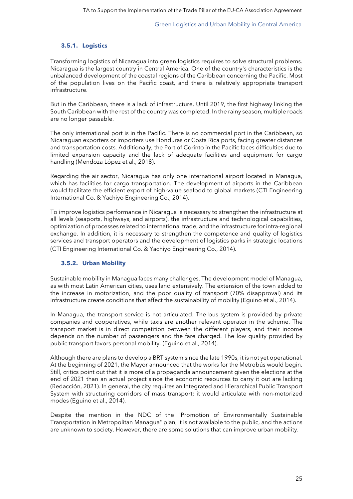### <span id="page-24-0"></span>**3.5.1. Logistics**

Transforming logistics of Nicaragua into green logistics requires to solve structural problems. Nicaragua is the largest country in Central America. One of the country's characteristics is the unbalanced development of the coastal regions of the Caribbean concerning the Pacific. Most of the population lives on the Pacific coast, and there is relatively appropriate transport infrastructure.

But in the Caribbean, there is a lack of infrastructure. Until 2019, the first highway linking the South Caribbean with the rest of the country was completed. In the rainy season, multiple roads are no longer passable.

The only international port is in the Pacific. There is no commercial port in the Caribbean, so Nicaraguan exporters or importers use Honduras or Costa Rica ports, facing greater distances and transportation costs. Additionally, the Port of Corinto in the Pacific faces difficulties due to limited expansion capacity and the lack of adequate facilities and equipment for cargo handling (Mendoza López et al., 2018).

Regarding the air sector, Nicaragua has only one international airport located in Managua, which has facilities for cargo transportation. The development of airports in the Caribbean would facilitate the efficient export of high-value seafood to global markets (CTI Engineering International Co. & Yachiyo Engineering Co., 2014).

To improve logistics performance in Nicaragua is necessary to strengthen the infrastructure at all levels (seaports, highways, and airports), the infrastructure and technological capabilities, optimization of processes related to international trade, and the infrastructure for intra-regional exchange. In addition, it is necessary to strengthen the competence and quality of logistics services and transport operators and the development of logistics parks in strategic locations (CTI Engineering International Co. & Yachiyo Engineering Co., 2014).

#### <span id="page-24-1"></span>**3.5.2. Urban Mobility**

Sustainable mobility in Managua faces many challenges. The development model of Managua, as with most Latin American cities, uses land extensively. The extension of the town added to the increase in motorization, and the poor quality of transport (70% disapproval) and its infrastructure create conditions that affect the sustainability of mobility (Eguino et al., 2014).

In Managua, the transport service is not articulated. The bus system is provided by private companies and cooperatives, while taxis are another relevant operator in the scheme. The transport market is in direct competition between the different players, and their income depends on the number of passengers and the fare charged. The low quality provided by public transport favors personal mobility. (Eguino et al., 2014).

Although there are plans to develop a BRT system since the late 1990s, it is not yet operational. At the beginning of 2021, the Mayor announced that the works for the Metrobús would begin. Still, critics point out that it is more of a propaganda announcement given the elections at the end of 2021 than an actual project since the economic resources to carry it out are lacking (Redacción, 2021). In general, the city requires an Integrated and Hierarchical Public Transport System with structuring corridors of mass transport; it would articulate with non-motorized modes (Eguino et al., 2014).

Despite the mention in the NDC of the "Promotion of Environmentally Sustainable Transportation in Metropolitan Managua" plan, it is not available to the public, and the actions are unknown to society. However, there are some solutions that can improve urban mobility.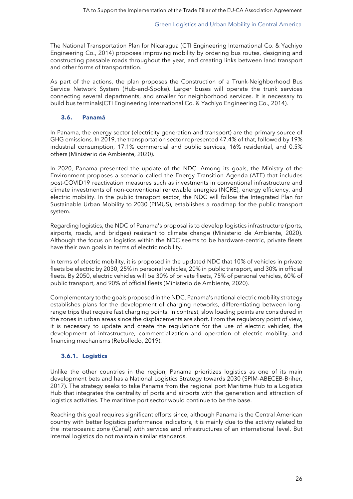The National Transportation Plan for Nicaragua (CTI Engineering International Co. & Yachiyo Engineering Co., 2014) proposes improving mobility by ordering bus routes, designing and constructing passable roads throughout the year, and creating links between land transport and other forms of transportation.

As part of the actions, the plan proposes the Construction of a Trunk-Neighborhood Bus Service Network System (Hub-and-Spoke). Larger buses will operate the trunk services connecting several departments, and smaller for neighborhood services. It is necessary to build bus terminals(CTI Engineering International Co. & Yachiyo Engineering Co., 2014).

#### <span id="page-25-0"></span>**3.6. Panamá**

In Panama, the energy sector (electricity generation and transport) are the primary source of GHG emissions. In 2019, the transportation sector represented 47.4% of that, followed by 19% industrial consumption, 17.1% commercial and public services, 16% residential, and 0.5% others (Ministerio de Ambiente, 2020).

In 2020, Panama presented the update of the NDC. Among its goals, the Ministry of the Environment proposes a scenario called the Energy Transition Agenda (ATE) that includes post-COVID19 reactivation measures such as investments in conventional infrastructure and climate investments of non-conventional renewable energies (NCRE), energy efficiency, and electric mobility. In the public transport sector, the NDC will follow the Integrated Plan for Sustainable Urban Mobility to 2030 (PIMUS), establishes a roadmap for the public transport system.

Regarding logistics, the NDC of Panama's proposal is to develop logistics infrastructure (ports, airports, roads, and bridges) resistant to climate change (Ministerio de Ambiente, 2020). Although the focus on logistics within the NDC seems to be hardware-centric, private fleets have their own goals in terms of electric mobility.

In terms of electric mobility, it is proposed in the updated NDC that 10% of vehicles in private fleets be electric by 2030, 25% in personal vehicles, 20% in public transport, and 30% in official fleets. By 2050, electric vehicles will be 30% of private fleets, 75% of personal vehicles, 60% of public transport, and 90% of official fleets (Ministerio de Ambiente, 2020).

Complementary to the goals proposed in the NDC, Panama's national electric mobility strategy establishes plans for the development of charging networks, differentiating between longrange trips that require fast charging points. In contrast, slow loading points are considered in the zones in urban areas since the displacements are short. From the regulatory point of view, it is necessary to update and create the regulations for the use of electric vehicles, the development of infrastructure, commercialization and operation of electric mobility, and financing mechanisms (Rebolledo, 2019).

#### <span id="page-25-1"></span>**3.6.1. Logistics**

Unlike the other countries in the region, Panama prioritizes logistics as one of its main development bets and has a National Logistics Strategy towards 2030 (SPIM-ABECEB-Briher, 2017). The strategy seeks to take Panama from the regional port Maritime Hub to a Logistics Hub that integrates the centrality of ports and airports with the generation and attraction of logistics activities. The maritime port sector would continue to be the base.

Reaching this goal requires significant efforts since, although Panama is the Central American country with better logistics performance indicators, it is mainly due to the activity related to the interoceanic zone (Canal) with services and infrastructures of an international level. But internal logistics do not maintain similar standards.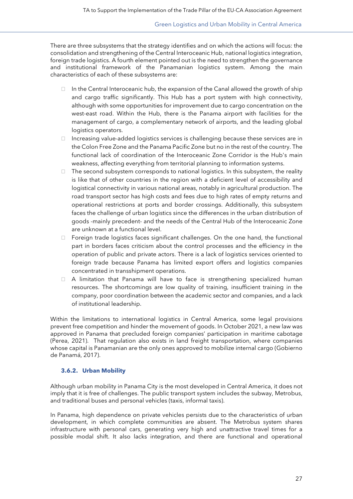There are three subsystems that the strategy identifies and on which the actions will focus: the consolidation and strengthening of the Central Interoceanic Hub, national logistics integration, foreign trade logistics. A fourth element pointed out is the need to strengthen the governance and institutional framework of the Panamanian logistics system. Among the main characteristics of each of these subsystems are:

- $\Box$  In the Central Interoceanic hub, the expansion of the Canal allowed the growth of ship and cargo traffic significantly. This Hub has a port system with high connectivity, although with some opportunities for improvement due to cargo concentration on the west-east road. Within the Hub, there is the Panama airport with facilities for the management of cargo, a complementary network of airports, and the leading global logistics operators.
- $\Box$  Increasing value-added logistics services is challenging because these services are in the Colon Free Zone and the Panama Pacific Zone but no in the rest of the country. The functional lack of coordination of the Interoceanic Zone Corridor is the Hub's main weakness, affecting everything from territorial planning to information systems.
- $\Box$  The second subsystem corresponds to national logistics. In this subsystem, the reality is like that of other countries in the region with a deficient level of accessibility and logistical connectivity in various national areas, notably in agricultural production. The road transport sector has high costs and fees due to high rates of empty returns and operational restrictions at ports and border crossings. Additionally, this subsystem faces the challenge of urban logistics since the differences in the urban distribution of goods -mainly precedent- and the needs of the Central Hub of the Interoceanic Zone are unknown at a functional level.
- $\Box$  Foreign trade logistics faces significant challenges. On the one hand, the functional part in borders faces criticism about the control processes and the efficiency in the operation of public and private actors. There is a lack of logistics services oriented to foreign trade because Panama has limited export offers and logistics companies concentrated in transshipment operations.
- A limitation that Panama will have to face is strengthening specialized human resources. The shortcomings are low quality of training, insufficient training in the company, poor coordination between the academic sector and companies, and a lack of institutional leadership.

Within the limitations to international logistics in Central America, some legal provisions prevent free competition and hinder the movement of goods. In October 2021, a new law was approved in Panama that precluded foreign companies' participation in maritime cabotage (Perea, 2021). That regulation also exists in land freight transportation, where companies whose capital is Panamanian are the only ones approved to mobilize internal cargo (Gobierno de Panamá, 2017).

#### <span id="page-26-0"></span>**3.6.2. Urban Mobility**

Although urban mobility in Panama City is the most developed in Central America, it does not imply that it is free of challenges. The public transport system includes the subway, Metrobus, and traditional buses and personal vehicles (taxis, informal taxis).

In Panama, high dependence on private vehicles persists due to the characteristics of urban development, in which complete communities are absent. The Metrobus system shares infrastructure with personal cars, generating very high and unattractive travel times for a possible modal shift. It also lacks integration, and there are functional and operational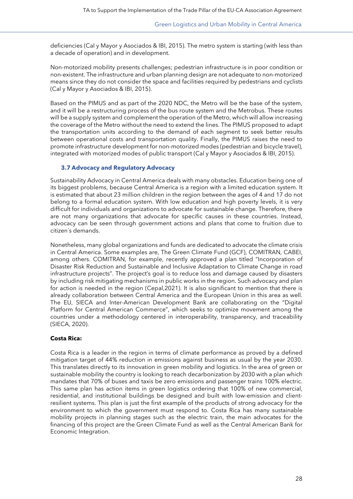deficiencies (Cal y Mayor y Asociados & IBI, 2015). The metro system is starting (with less than a decade of operation) and in development.

Non-motorized mobility presents challenges; pedestrian infrastructure is in poor condition or non-existent. The infrastructure and urban planning design are not adequate to non-motorized means since they do not consider the space and facilities required by pedestrians and cyclists (Cal y Mayor y Asociados & IBI, 2015).

Based on the PIMUS and as part of the 2020 NDC, the Metro will be the base of the system, and it will be a restructuring process of the bus route system and the Metrobus. These routes will be a supply system and complement the operation of the Metro, which will allow increasing the coverage of the Metro without the need to extend the lines. The PIMUS proposed to adapt the transportation units according to the demand of each segment to seek better results between operational costs and transportation quality. Finally, the PIMUS raises the need to promote infrastructure development for non-motorized modes (pedestrian and bicycle travel), integrated with motorized modes of public transport (Cal y Mayor y Asociados & IBI, 2015).

#### <span id="page-27-0"></span>**3.7 Advocacy and Regulatory Advocacy**

Sustainability Advocacy in Central America deals with many obstacles. Education being one of its biggest problems, because Central America is a region with a limited education system. It is estimated that about 23 million children in the region between the ages of 4 and 17 do not belong to a formal education system. With low education and high poverty levels, it is very difficult for individuals and organizations to advocate for sustainable change. Therefore, there are not many organizations that advocate for specific causes in these countries. Instead, advocacy can be seen through government actions and plans that come to fruition due to citizen´s demands.

Nonetheless, many global organizations and funds are dedicated to advocate the climate crisis in Central America. Some examples are, The Green Climate Fund (GCF), COMITRAN, CABEI, among others. COMITRAN, for example, recently approved a plan titled "Incorporation of Disaster Risk Reduction and Sustainable and Inclusive Adaptation to Climate Change in road infrastructure projects". The project's goal is to reduce loss and damage caused by disasters by including risk mitigating mechanisms in public works in the region. Such advocacy and plan for action is needed in the region (Cepal,2021). It is also significant to mention that there is already collaboration between Central America and the European Union in this area as well. The EU, SIECA and Inter-American Development Bank are collaborating on the "Digital Platform for Central American Commerce", which seeks to optimize movement among the countries under a methodology centered in interoperability, transparency, and traceability (SIECA, 2020).

# **Costa Rica:**

Costa Rica is a leader in the region in terms of climate performance as proved by a defined mitigation target of 44% reduction in emissions against business as usual by the year 2030. This translates directly to its innovation in green mobility and logistics. In the area of green or sustainable mobility the country is looking to reach decarbonization by 2030 with a plan which mandates that 70% of buses and taxis be zero emissions and passenger trains 100% electric. This same plan has action items in green logistics ordering that 100% of new commercial, residential, and institutional buildings be designed and built with low-emission and clientresilient systems. This plan is just the first example of the products of strong advocacy for the environment to which the government must respond to. Costa Rica has many sustainable mobility projects in planning stages such as the electric train, the main advocates for the financing of this project are the Green Climate Fund as well as the Central American Bank for Economic Integration.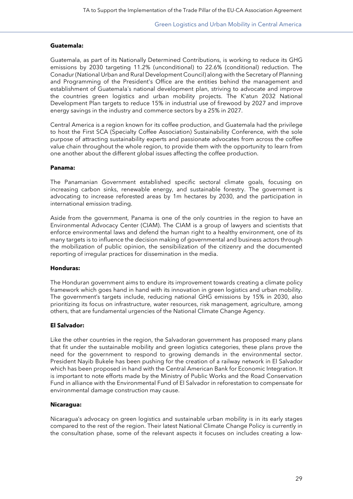#### **Guatemala:**

Guatemala, as part of its Nationally Determined Contributions, is working to reduce its GHG emissions by 2030 targeting 11.2% (unconditional) to 22.6% (conditional) reduction. The Conadur (National Urban and Rural Development Council) along with the Secretary of Planning and Programming of the President's Office are the entities behind the management and establishment of Guatemala´s national development plan, striving to advocate and improve the countries green logistics and urban mobility projects. The K'atun 2032 National Development Plan targets to reduce 15% in industrial use of firewood by 2027 and improve energy savings in the industry and commerce sectors by a 25% in 2027.

Central America is a region known for its coffee production, and Guatemala had the privilege to host the First SCA (Specialty Coffee Association) Sustainability Conference, with the sole purpose of attracting sustainability experts and passionate advocates from across the coffee value chain throughout the whole region, to provide them with the opportunity to learn from one another about the different global issues affecting the coffee production.

#### **Panama:**

The Panamanian Government established specific sectoral climate goals, focusing on increasing carbon sinks, renewable energy, and sustainable forestry. The government is advocating to increase reforested areas by 1m hectares by 2030, and the participation in international emission trading.

Aside from the government, Panama is one of the only countries in the region to have an Environmental Advocacy Center (CIAM). The CIAM is a group of lawyers and scientists that enforce environmental laws and defend the human right to a healthy environment, one of its many targets is to influence the decision making of governmental and business actors through the mobilization of public opinion, the sensibilization of the citizenry and the documented reporting of irregular practices for dissemination in the media.

#### **Honduras:**

The Honduran government aims to endure its improvement towards creating a climate policy framework which goes hand in hand with its innovation in green logistics and urban mobility. The government's targets include, reducing national GHG emissions by 15% in 2030, also prioritizing its focus on infrastructure, water resources, risk management, agriculture, among others, that are fundamental urgencies of the National Climate Change Agency.

#### **El Salvador:**

Like the other countries in the region, the Salvadoran government has proposed many plans that fit under the sustainable mobility and green logistics categories, these plans prove the need for the government to respond to growing demands in the environmental sector. President Nayib Bukele has been pushing for the creation of a railway network in El Salvador which has been proposed in hand with the Central American Bank for Economic Integration. It is important to note efforts made by the Ministry of Public Works and the Road Conservation Fund in alliance with the Environmental Fund of El Salvador in reforestation to compensate for environmental damage construction may cause.

#### **Nicaragua:**

Nicaragua's advocacy on green logistics and sustainable urban mobility is in its early stages compared to the rest of the region. Their latest National Climate Change Policy is currently in the consultation phase, some of the relevant aspects it focuses on includes creating a low-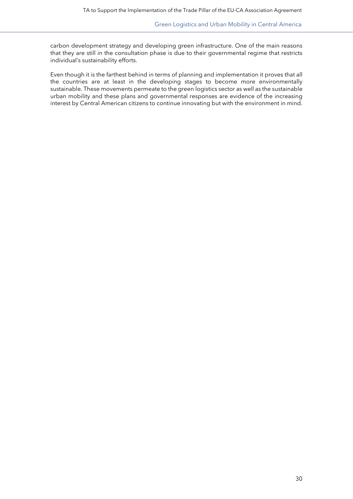carbon development strategy and developing green infrastructure. One of the main reasons that they are still in the consultation phase is due to their governmental regime that restricts individual's sustainability efforts.

Even though it is the farthest behind in terms of planning and implementation it proves that all the countries are at least in the developing stages to become more environmentally sustainable. These movements permeate to the green logistics sector as well as the sustainable urban mobility and these plans and governmental responses are evidence of the increasing interest by Central American citizens to continue innovating but with the environment in mind.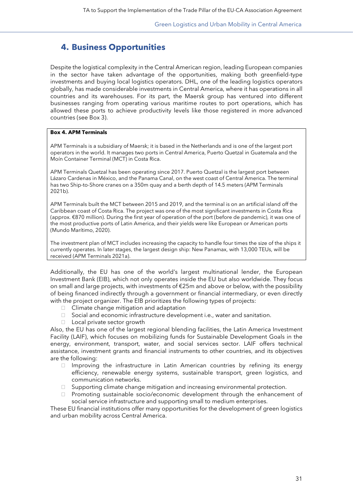# <span id="page-30-0"></span>**4. Business Opportunities**

Despite the logistical complexity in the Central American region, leading European companies in the sector have taken advantage of the opportunities, making both greenfield-type investments and buying local logistics operators. DHL, one of the leading logistics operators globally, has made considerable investments in Central America, where it has operations in all countries and its warehouses. For its part, the Maersk group has ventured into different businesses ranging from operating various maritime routes to port operations, which has allowed these ports to achieve productivity levels like those registered in more advanced countries (see Box 3).

#### **Box 4. APM Terminals**

APM Terminals is a subsidiary of Maersk; it is based in the Netherlands and is one of the largest port operators in the world. It manages two ports in Central America, Puerto Quetzal in Guatemala and the Moín Container Terminal (MCT) in Costa Rica.

APM Terminals Quetzal has been operating since 2017. Puerto Quetzal is the largest port between Lázaro Cardenas in México, and the Panama Canal, on the west coast of Central America. The terminal has two Ship-to-Shore cranes on a 350m quay and a berth depth of 14.5 meters (APM Terminals 2021b).

APM Terminals built the MCT between 2015 and 2019, and the terminal is on an artificial island off the Caribbean coast of Costa Rica. The project was one of the most significant investments in Costa Rica (approx. €870 million). During the first year of operation of the port (before de pandemic), it was one of the most productive ports of Latin America, and their yields were like European or American ports (Mundo Marítimo, 2020).

The investment plan of MCT includes increasing the capacity to handle four times the size of the ships it currently operates. In later stages, the largest design ship: New Panamax, with 13,000 TEUs, will be received (APM Terminals 2021a).

Additionally, the EU has one of the world's largest multinational lender, the European Investment Bank (EIB), which not only operates inside the EU but also worldwide. They focus on small and large projects, with investments of €25m and above or below, with the possibility of being financed indirectly through a government or financial intermediary, or even directly with the project organizer. The EIB prioritizes the following types of projects:

- Climate change mitigation and adaptation
- $\Box$  Social and economic infrastructure development i.e., water and sanitation.
- □ Local private sector growth

Also, the EU has one of the largest regional blending facilities, the Latin America Investment Facility (LAIF), which focuses on mobilizing funds for Sustainable Development Goals in the energy, environment, transport, water, and social services sector. LAIF offers technical assistance, investment grants and financial instruments to other countries, and its objectives are the following:

- $\Box$  Improving the infrastructure in Latin American countries by refining its energy efficiency, renewable energy systems, sustainable transport, green logistics, and communication networks.
- $\Box$  Supporting climate change mitigation and increasing environmental protection.
- $\Box$  Promoting sustainable socio/economic development through the enhancement of social service infrastructure and supporting small to medium enterprises.

These EU financial institutions offer many opportunities for the development of green logistics and urban mobility across Central America.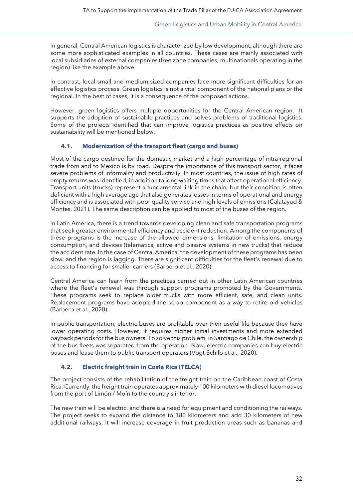In general, Central American logistics is characterized by low development, although there are some more sophisticated examples in all countries. These cases are mainly associated with local subsidiaries of external companies (free zone companies, multinationals operating in the region) like the example above.

In contrast, local small and medium-sized companies face more significant difficulties for an effective logistics process. Green logistics is not a vital component of the national plans or the regional. In the best of cases, it is a consequence of the proposed actions.

However, green logistics offers multiple opportunities for the Central American region. It supports the adoption of sustainable practices and solves problems of traditional logistics. Some of the projects identified that can improve logistics practices as positive effects on sustainability will be mentioned below.

### <span id="page-31-0"></span>**4.1. Modernization of the transport fleet (cargo and buses)**

Most of the cargo destined for the domestic market and a high percentage of intra-regional trade from and to Mexico is by road. Despite the importance of this transport sector, it faces severe problems of informality and productivity. In most countries, the issue of high rates of empty returns was identified, in addition to long waiting times that affect operational efficiency. Transport units (trucks) represent a fundamental link in the chain, but their condition is often deficient with a high average age that also generates losses in terms of operational and energy efficiency and is associated with poor quality service and high levels of emissions (Calatayud & Montes, 2021). The same description can be applied to most of the buses of the region.

In Latin America, there is a trend towards developing clean and safe transportation programs that seek greater environmental efficiency and accident reduction. Among the components of these programs is the increase of the allowed dimensions, limitation of emissions, energy consumption, and devices (telematics, active and passive systems in new trucks) that reduce the accident rate. In the case of Central America, the development of these programs has been slow, and the region is lagging. There are significant difficulties for the fleet's renewal due to access to financing for smaller carriers (Barbero et al., 2020).

Central America can learn from the practices carried out in other Latin American countries where the fleet's renewal was through support programs promoted by the Governments. These programs seek to replace older trucks with more efficient, safe, and clean units. Replacement programs have adopted the scrap component as a way to retire old vehicles (Barbero et al., 2020).

In public transportation, electric buses are profitable over their useful life because they have lower operating costs. However, it requires higher initial investments and more extended payback periods for the bus owners. To solve this problem, in Santiago de Chile, the ownership of the bus fleets was separated from the operation. Now, electric companies can buy electric buses and lease them to public transport operators (Vogt-Schilb et al., 2020).

# <span id="page-31-1"></span>**4.2. Electric freight train in Costa Rica (TELCA)**

The project consists of the rehabilitation of the freight train on the Caribbean coast of Costa Rica. Currently, the freight train operates approximately 100 kilometers with diesel locomotives from the port of Limón / Moín to the country's interior.

The new train will be electric, and there is a need for equipment and conditioning the railways. The project seeks to expand the distance to 180 kilometers and add 30 kilometers of new additional railways. It will increase coverage in fruit production areas such as bananas and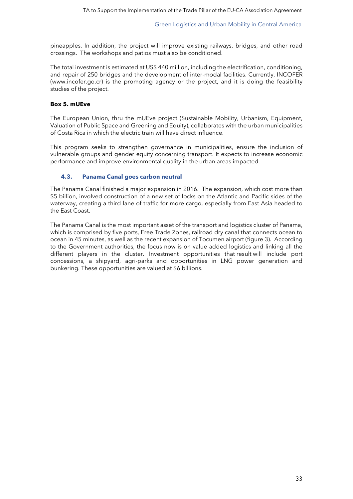pineapples. In addition, the project will improve existing railways, bridges, and other road crossings. The workshops and patios must also be conditioned.

The total investment is estimated at US\$ 440 million, including the electrification, conditioning, and repair of 250 bridges and the development of inter-modal facilities. Currently, INCOFER [\(www.incofer.go.cr\)](http://www.incofer.go.cr/) is the promoting agency or the project, and it is doing the feasibility studies of the project.

#### **Box 5. mUEve**

The European Union, thru the mUEve project (Sustainable Mobility, Urbanism, Equipment, Valuation of Public Space and Greening and Equity), collaborates with the urban municipalities of Costa Rica in which the electric train will have direct influence.

This program seeks to strengthen governance in municipalities, ensure the inclusion of vulnerable groups and gender equity concerning transport. It expects to increase economic performance and improve environmental quality in the urban areas impacted.

# <span id="page-32-0"></span>**4.3. Panama Canal goes carbon neutral**

The Panama Canal finished a major expansion in 2016. The expansion, which cost more than \$5 billion, involved construction of a new set of locks on the Atlantic and Pacific sides of the waterway, creating a third lane of traffic for more cargo, especially from East Asia headed to the East Coast.

The Panama Canal is the most important asset of the transport and logistics cluster of Panama, which is comprised by five ports, Free Trade Zones, railroad dry canal that connects ocean to ocean in 45 minutes, as well as the recent expansion of Tocumen airport (figure 3). According to the Government authorities, the focus now is on value added logistics and linking all the different players in the cluster. Investment opportunities that result will include port concessions, a shipyard, agri-parks and opportunities in LNG power generation and bunkering. These opportunities are valued at \$6 billions.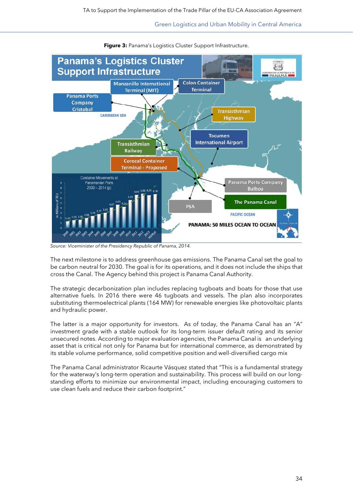

**Figure 3: Panama's Logistics Cluster Support Infrastructure.** 

*Source: Viceminister of the Presidency Republic of Panama, 2014.*

The next milestone is to address greenhouse gas emissions. The Panama Canal set the goal to be carbon neutral for 2030. The goal is for its operations, and it does not include the ships that cross the Canal. The Agency behind this project is Panama Canal Authority.

The strategic decarbonization plan includes replacing tugboats and boats for those that use alternative fuels. In 2016 there were 46 tugboats and vessels. The plan also incorporates substituting thermoelectrical plants (164 MW) for renewable energies like photovoltaic plants and hydraulic power.

The latter is a major opportunity for investors. As of today, the Panama Canal has an "A" investment grade with a stable outlook for its long-term issuer default rating and its senior unsecured notes. According to major evaluation agencies, the Panama Canal is an underlying asset that is critical not only for Panama but for international commerce, as demonstrated by its stable volume performance, solid competitive position and well-diversified cargo mix

The Panama Canal administrator Ricaurte Vásquez stated that "This is a fundamental strategy for the waterway's long-term operation and sustainability. This process will build on our longstanding efforts to minimize our environmental impact, including encouraging customers to use clean fuels and reduce their carbon footprint."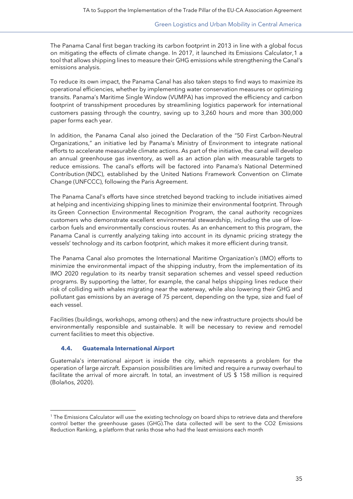The Panama Canal first began tracking its carbon footprint in 2013 in line with a global focus on mitigating the effects of climate change. In 2017, it launched its [Emissions Calculator,](https://safety4sea.com/panama-canal-launches-emissions-calculator-tool/)[1](#page-34-1) a tool that allows shipping lines to measure their GHG emissions while strengthening the Canal's emissions analysis.

To reduce its own impact, the Panama Canal has also taken steps to find ways to maximize its operational efficiencies, whether by implementing water conservation measures or optimizing transits. Panama's Maritime Single Window (VUMPA) has improved the efficiency and carbon footprint of transshipment procedures by streamlining logistics paperwork for international customers passing through the country, saving up to 3,260 hours and more than 300,000 paper forms each year.

In addition, the Panama Canal also joined the Declaration of the "50 First Carbon-Neutral Organizations," an initiative led by Panama's Ministry of Environment to integrate national efforts to accelerate measurable climate actions. As part of the initiative, the canal will develop an annual greenhouse gas inventory, as well as an action plan with measurable targets to reduce emissions. The canal's efforts will be factored into Panama's National Determined Contribution (NDC), established by the United Nations Framework Convention on Climate Change (UNFCCC), following the Paris Agreement.

The Panama Canal's efforts have since stretched beyond tracking to include initiatives aimed at helping and incentivizing shipping lines to minimize their environmental footprint. Through its Green Connection Environmental Recognition Program, the canal authority recognizes customers who demonstrate excellent environmental stewardship, including the use of lowcarbon fuels and environmentally conscious routes. As an enhancement to this program, the Panama Canal is currently analyzing taking into account in its dynamic pricing strategy the vessels' technology and its carbon footprint, which makes it more efficient during transit.

The Panama Canal also promotes the International Maritime Organization's (IMO) efforts to minimize the environmental impact of the shipping industry, from the implementation of its IMO 2020 regulation to its nearby transit separation schemes and vessel speed reduction programs. By supporting the latter, for example, the canal helps shipping lines reduce their risk of colliding with whales migrating near the waterway, while also lowering their GHG and pollutant gas emissions by an average of 75 percent, depending on the type, size and fuel of each vessel.

Facilities (buildings, workshops, among others) and the new infrastructure projects should be environmentally responsible and sustainable. It will be necessary to review and remodel current facilities to meet this objective.

#### <span id="page-34-0"></span>**4.4. Guatemala International Airport**

Guatemala's international airport is inside the city, which represents a problem for the operation of large aircraft. Expansion possibilities are limited and require a runway overhaul to facilitate the arrival of more aircraft. In total, an investment of US \$ 158 million is required (Bolaños, 2020).

<span id="page-34-1"></span><sup>1</sup> The Emissions Calculator will use the existing technology on board ships to retrieve data and therefore control better the greenhouse gases (GHG).The data collected will be sent to the CO2 Emissions Reduction Ranking, a platform that ranks those who had the least emissions each month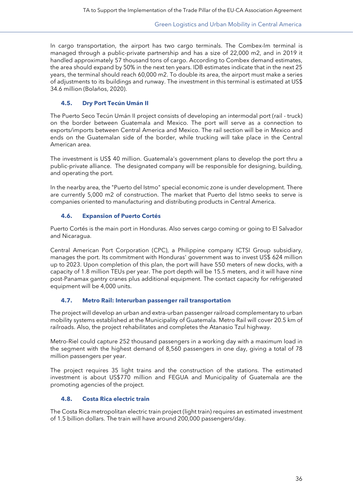In cargo transportation, the airport has two cargo terminals. The Combex-Im terminal is managed through a public-private partnership and has a size of 22,000 m2, and in 2019 it handled approximately 57 thousand tons of cargo. According to Combex demand estimates, the area should expand by 50% in the next ten years. IDB estimates indicate that in the next 25 years, the terminal should reach 60,000 m2. To double its area, the airport must make a series of adjustments to its buildings and runway. The investment in this terminal is estimated at US\$ 34.6 million (Bolaños, 2020).

# <span id="page-35-0"></span>**4.5. Dry Port Tecún Umán II**

The Puerto Seco Tecún Umán II project consists of developing an intermodal port (rail - truck) on the border between Guatemala and Mexico. The port will serve as a connection to exports/imports between Central America and Mexico. The rail section will be in Mexico and ends on the Guatemalan side of the border, while trucking will take place in the Central American area.

The investment is US\$ 40 million. Guatemala's government plans to develop the port thru a public-private alliance. The designated company will be responsible for designing, building, and operating the port.

In the nearby area, the "Puerto del Istmo" special economic zone is under development. There are currently 5,000 m2 of construction. The market that Puerto del Istmo seeks to serve is companies oriented to manufacturing and distributing products in Central America.

# <span id="page-35-1"></span>**4.6. Expansion of Puerto Cortés**

Puerto Cortés is the main port in Honduras. Also serves cargo coming or going to El Salvador and Nicaragua.

Central American Port Corporation (CPC), a Philippine company ICTSI Group subsidiary, manages the port. Its commitment with Honduras' government was to invest US\$ 624 million up to 2023. Upon completion of this plan, the port will have 550 meters of new docks, with a capacity of 1.8 million TEUs per year. The port depth will be 15.5 meters, and it will have nine post-Panamax gantry cranes plus additional equipment. The contact capacity for refrigerated equipment will be 4,000 units.

# <span id="page-35-2"></span>**4.7. Metro Rail: Interurban passenger rail transportation**

The project will develop an urban and extra-urban passenger railroad complementary to urban mobility systems established at the Municipality of Guatemala. Metro Rail will cover 20.5 km of railroads. Also, the project rehabilitates and completes the Atanasio Tzul highway.

Metro-Riel could capture 252 thousand passengers in a working day with a maximum load in the segment with the highest demand of 8,560 passengers in one day, giving a total of 78 million passengers per year.

The project requires 35 light trains and the construction of the stations. The estimated investment is about US\$770 million and FEGUA and Municipality of Guatemala are the promoting agencies of the project.

# <span id="page-35-3"></span>**4.8. Costa Rica electric train**

The Costa Rica metropolitan electric train project (light train) requires an estimated investment of 1.5 billion dollars. The train will have around 200,000 passengers/day.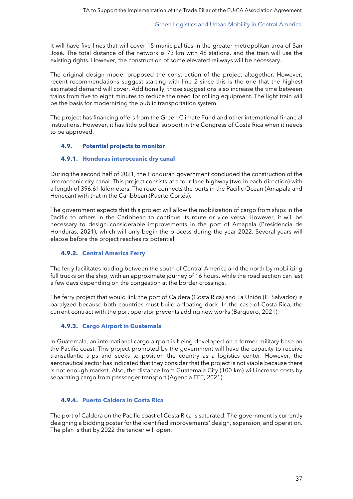It will have five lines that will cover 15 municipalities in the greater metropolitan area of San José. The total distance of the network is 73 km with 46 stations, and the train will use the existing rights. However, the construction of some elevated railways will be necessary.

The original design model proposed the construction of the project altogether. However, recent recommendations suggest starting with line 2 since this is the one that the highest estimated demand will cover. Additionally, those suggestions also increase the time between trains from five to eight minutes to reduce the need for rolling equipment. The light train will be the basis for modernizing the public transportation system.

The project has financing offers from the Green Climate Fund and other international financial institutions. However, it has little political support in the Congress of Costa Rica when it needs to be approved.

#### <span id="page-36-0"></span>**4.9. Potential projects to monitor**

#### <span id="page-36-1"></span>**4.9.1. Honduras interoceanic dry canal**

During the second half of 2021, the Honduran government concluded the construction of the interoceanic dry canal. This project consists of a four-lane highway (two in each direction) with a length of 396.61 kilometers. The road connects the ports in the Pacific Ocean (Amapala and Henecán) with that in the Caribbean (Puerto Cortés).

The government expects that this project will allow the mobilization of cargo from ships in the Pacific to others in the Caribbean to continue its route or vice versa. However, it will be necessary to design considerable improvements in the port of Amapala (Presidencia de Honduras, 2021), which will only begin the process during the year 2022. Several years will elapse before the project reaches its potential.

#### <span id="page-36-2"></span>**4.9.2. Central America Ferry**

The ferry facilitates loading between the south of Central America and the north by mobilizing full trucks on the ship, with an approximate journey of 16 hours, while the road section can last a few days depending on the congestion at the border crossings.

The ferry project that would link the port of Caldera (Costa Rica) and La Unión (El Salvador) is paralyzed because both countries must build a floating dock. In the case of Costa Rica, the current contract with the port operator prevents adding new works (Barquero, 2021).

#### <span id="page-36-3"></span>**4.9.3. Cargo Airport in Guatemala**

In Guatemala, an international cargo airport is being developed on a former military base on the Pacific coast. This project promoted by the government will have the capacity to receive transatlantic trips and seeks to position the country as a logistics center. However, the aeronautical sector has indicated that they consider that the project is not viable because there is not enough market. Also, the distance from Guatemala City (100 km) will increase costs by separating cargo from passenger transport (Agencia EFE, 2021).

#### <span id="page-36-4"></span>**4.9.4. Puerto Caldera in Costa Rica**

The port of Caldera on the Pacific coast of Costa Rica is saturated. The government is currently designing a bidding poster for the identified improvements' design, expansion, and operation. The plan is that by 2022 the tender will open.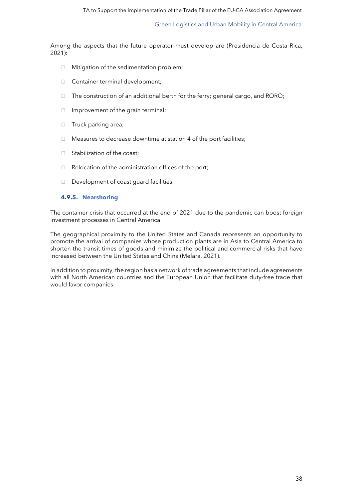Among the aspects that the future operator must develop are (Presidencia de Costa Rica, 2021):

- $\Box$  Mitigation of the sedimentation problem;
- □ Container terminal development;
- $\Box$  The construction of an additional berth for the ferry; general cargo, and RORO;
- $\Box$  Improvement of the grain terminal;
- □ Truck parking area;
- $\Box$  Measures to decrease downtime at station 4 of the port facilities;
- $\Box$  Stabilization of the coast:
- $\Box$  Relocation of the administration offices of the port;
- <span id="page-37-0"></span>D Development of coast guard facilities.

#### **4.9.5. Nearshoring**

The container crisis that occurred at the end of 2021 due to the pandemic can boost foreign investment processes in Central America.

The geographical proximity to the United States and Canada represents an opportunity to promote the arrival of companies whose production plants are in Asia to Central America to shorten the transit times of goods and minimize the political and commercial risks that have increased between the United States and China (Melara, 2021).

In addition to proximity, the region has a network of trade agreements that include agreements with all North American countries and the European Union that facilitate duty-free trade that would favor companies.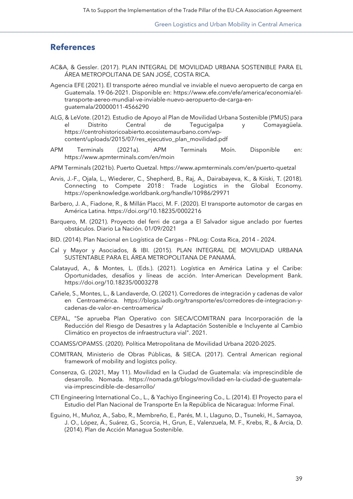# <span id="page-38-0"></span>**References**

- AC&A, & Gessler. (2017). PLAN INTEGRAL DE MOVILIDAD URBANA SOSTENIBLE PARA EL ÁREA METROPOLITANA DE SAN JOSÉ, COSTA RICA.
- Agencia EFE (2021). El transporte aéreo mundial ve inviable el nuevo aeropuerto de carga en Guatemala. 19-06-2021. Disponible en: https://www.efe.com/efe/america/economia/eltransporte-aereo-mundial-ve-inviable-nuevo-aeropuerto-de-carga-enguatemala/20000011-4566290
- ALG, & LeVote. (2012). Estudio de Apoyo al Plan de Movilidad Urbana Sostenible (PMUS) para el Distrito Central de Tegucigalpa y Comayagüela. https://centrohistoricoabierto.ecosistemaurbano.com/wpcontent/uploads/2015/07/res\_ejecutivo\_plan\_movilidad.pdf
- APM Terminals (2021a). APM Terminals Moín. Disponible en: https://www.apmterminals.com/en/moin
- APM Terminals (2021b). Puerto Quetzal. https://www.apmterminals.com/en/puerto-quetzal
- Arvis, J.-F., Ojala, L., Wiederer, C., Shepherd, B., Raj, A., Dairabayeva, K., & Kiiski, T. (2018). Connecting to Compete 2018: Trade Logistics in the Global Economy. https://openknowledge.worldbank.org/handle/10986/29971
- Barbero, J. A., Fiadone, R., & Millán Placci, M. F. (2020). El transporte automotor de cargas en América Latina. https://doi.org/10.18235/0002216
- Barquero, M. (2021). Proyecto del ferri de carga a El Salvador sigue anclado por fuertes obstáculos. Diario La Nación. 01/09/2021
- BID. (2014). Plan Nacional en Logística de Cargas PNLog: Costa Rica, 2014 2024.
- Cal y Mayor y Asociados, & IBI. (2015). PLAN INTEGRAL DE MOVILIDAD URBANA SUSTENTABLE PARA EL ÁREA METROPOLITANA DE PANAMÁ.
- Calatayud, A., & Montes, L. (Eds.). (2021). Logística en América Latina y el Caribe: Oportunidades, desafíos y líneas de acción. Inter-American Development Bank. https://doi.org/10.18235/0003278
- Cañele, S., Montes, L., & Landaverde, O. (2021). Corredores de integración y cadenas de valor en Centroamérica. https://blogs.iadb.org/transporte/es/corredores-de-integracion-ycadenas-de-valor-en-centroamerica/
- CEPAL, "Se aprueba Plan Operativo con SIECA/COMITRAN para Incorporación de la Reducción del Riesgo de Desastres y la Adaptación Sostenible e Incluyente al Cambio Climático en proyectos de infraestructura vial". 2021.
- COAMSS/OPAMSS. (2020). Política Metropolitana de Movilidad Urbana 2020-2025.
- COMITRAN, Ministerio de Obras Públicas, & SIECA. (2017). Central American regional framework of mobility and logistcs policy.
- Consenza, G. (2021, May 11). Movilidad en la Ciudad de Guatemala: vía imprescindible de desarrollo. Nomada. https://nomada.gt/blogs/movilidad-en-la-ciudad-de-guatemalavia-imprescindible-de-desarrollo/
- CTI Engineering International Co., L., & Yachiyo Engineering Co., L. (2014). El Proyecto para el Estudio del Plan Nacional de Transporte En la República de Nicaragua: Informe Final.
- Eguino, H., Muñoz, A., Sabo, R., Membreño, E., Parés, M. I., Llaguno, D., Tsuneki, H., Samayoa, J. O., López, Á., Suárez, G., Scorcia, H., Grun, E., Valenzuela, M. F., Krebs, R., & Arcia, D. (2014). Plan de Acción Managua Sostenible.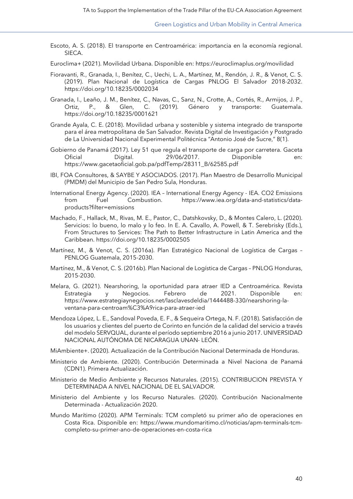- Escoto, A. S. (2018). El transporte en Centroamérica: importancia en la economía regional. SIECA.
- Euroclima+ (2021). Movilidad Urbana. Disponible en: https://euroclimaplus.org/movilidad
- Fioravanti, R., Granada, I., Benítez, C., Uechi, L. A., Martínez, M., Rendón, J. R., & Venot, C. S. (2019). Plan Nacional de Logística de Cargas PNLOG El Salvador 2018-2032. https://doi.org/10.18235/0002034
- Granada, I., Leaño, J. M., Benítez, C., Navas, C., Sanz, N., Crotte, A., Cortés, R., Armijos, J. P., Ortiz, P., & Glen, C. (2019). Género y transporte: Guatemala. https://doi.org/10.18235/0001621
- Grande Ayala, C. E. (2018). Movilidad urbana y sostenible y sistema integrado de transporte para el área metropolitana de San Salvador. Revista Digital de Investigación y Postgrado de La Universidad Nacional Experimental Politécnica "Antonio José de Sucre," 8(1).
- Gobierno de Panamá (2017). Ley 51 que regula el transporte de carga por carretera. Gaceta Oficial Digital. 29/06/2017. Disponible en: https://www.gacetaoficial.gob.pa/pdfTemp/28311\_B/62585.pdf
- IBI, FOA Consultores, & SAYBE Y ASOCIADOS. (2017). Plan Maestro de Desarrollo Municipal (PMDM) del Municipio de San Pedro Sula, Honduras.
- International Energy Agency. (2020). IEA International Energy Agency IEA. CO2 Emissions from Fuel Combustion. https://www.iea.org/data-and-statistics/dataproducts?filter=emissions
- Machado, F., Hallack, M., Rivas, M. E., Pastor, C., Datshkovsky, D., & Montes Calero, L. (2020). Servicios: lo bueno, lo malo y lo feo. In E. A. Cavallo, A. Powell, & T. Serebrisky (Eds.), From Structures to Services: The Path to Better Infrastructure in Latin America and the Caribbean. https://doi.org/10.18235/0002505
- Martínez, M., & Venot, C. S. (2016a). Plan Estratégico Nacional de Logística de Cargas PENLOG Guatemala, 2015-2030.
- Martínez, M., & Venot, C. S. (2016b). Plan Nacional de Logística de Cargas PNLOG Honduras, 2015-2030.
- Melara, G. (2021). Nearshoring, la oportunidad para atraer IED a Centroamérica. Revista Estrategia y Negocios. Febrero de 2021. Disponible en: https://www.estrategiaynegocios.net/lasclavesdeldia/1444488-330/nearshoring-laventana-para-centroam%C3%A9rica-para-atraer-ied
- Mendoza López, L. E., Sandoval Poveda, E. F., & Sequeira Ortega, N. F. (2018). Satisfacción de los usuarios y clientes del puerto de Corinto en función de la calidad del servicio a través del modelo SERVQUAL, durante el período septiembre 2016 a junio 2017. UNIVERSIDAD NACIONAL AUTÓNOMA DE NICARAGUA UNAN- LEÓN.
- MiAmbiente+. (2020). Actualización de la Contribución Nacional Determinada de Honduras.
- Ministerio de Ambiente. (2020). Contribución Determinada a Nivel Naciona de Panamá (CDN1). Primera Actualización.
- Ministerio de Medio Ambiente y Recursos Naturales. (2015). CONTRIBUCION PREVISTA Y DETERMINADA A NIVEL NACIONAL DE EL SALVADOR.
- Ministerio del Ambiente y los Recurso Naturales. (2020). Contribución Nacionalmente Determinada - Actualización 2020.
- Mundo Marítimo (2020). APM Terminals: TCM completó su primer año de operaciones en Costa Rica. Disponible en: https://www.mundomaritimo.cl/noticias/apm-terminals-tcmcompleto-su-primer-ano-de-operaciones-en-costa-rica